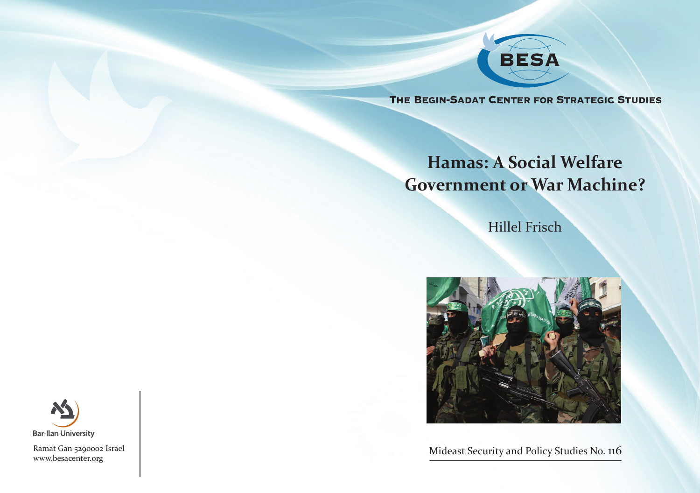

THE BEGIN-SADAT CENTER FOR STRATEGIC STUDIES

# **Hamas: A Social Welfare Government or War Machine?**

**Hillel Frisch** 



Mideast Security and Policy Studies No. 116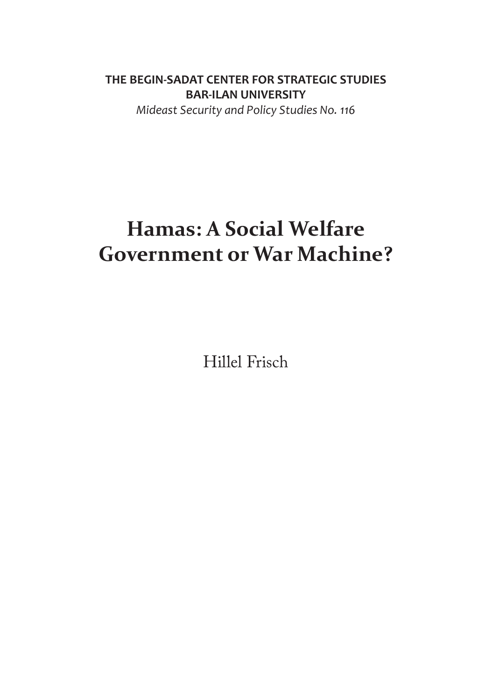### **THE BEGIN-SADAT CENTER FOR STRATEGIC STUDIES BAR-ILAN UNIVERSITY**

*Mideast Security and Policy Studies No. 116* 

# **Hamas: A Social Welfare Government or War Machine?**

Hillel Frisch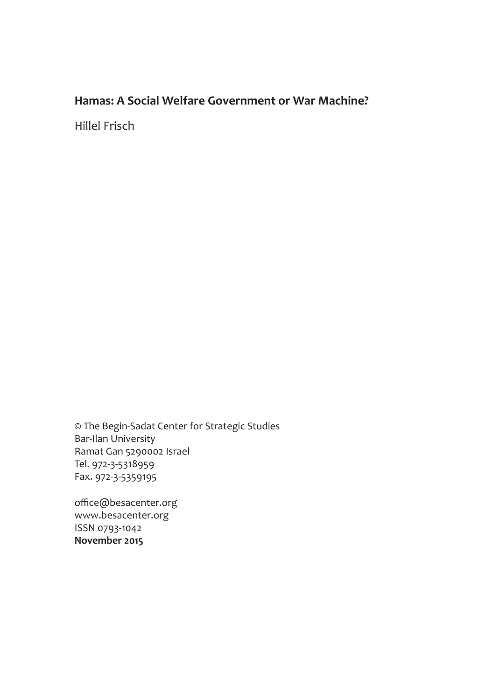### **Hamas: A Social Welfare Government or War Machine?**

Hillel Frisch

© The Begin-Sadat Center for Strategic Studies Bar-Ilan University Ramat Gan 5290002 Israel Tel. 972-3-5318959 Fax. 972-3-5359195

office@besacenter.org www.besacenter.org ISSN 0793-1042 **2015 November**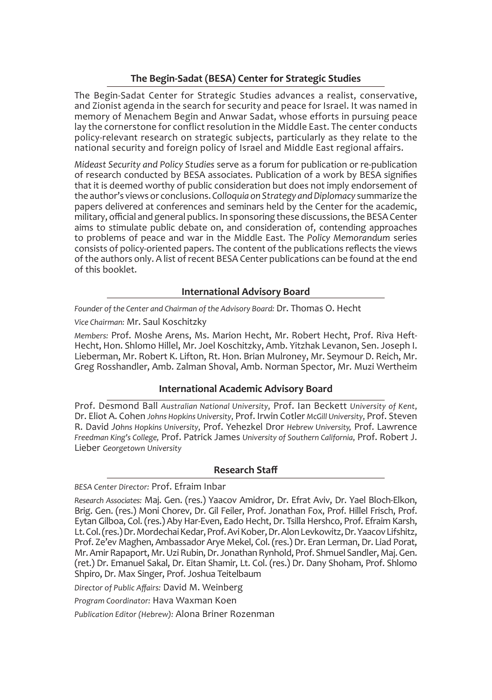#### **The Begin-Sadat (BESA) Center for Strategic Studies**

The Begin-Sadat Center for Strategic Studies advances a realist, conservative. and Zionist agenda in the search for security and peace for Israel. It was named in memory of Menachem Begin and Anwar Sadat, whose efforts in pursuing peace lay the cornerstone for conflict resolution in the Middle East. The center conducts policy-relevant research on strategic subjects, particularly as they relate to the national security and foreign policy of Israel and Middle East regional affairs.

Mideast Security and Policy Studies serve as a forum for publication or re-publication of research conducted by BESA associates. Publication of a work by BESA signifies that it is deemed worthy of public consideration but does not imply endorsement of the author's views or conclusions. Colloquia on Strategy and Diplomacy summarize the papers delivered at conferences and seminars held by the Center for the academic, military, official and general publics. In sponsoring these discussions, the BESA Center aims to stimulate public debate on, and consideration of, contending approaches to problems of peace and war in the Middle East. The Policy Memorandum series consists of policy-oriented papers. The content of the publications reflects the views of the authors only. A list of recent BESA Center publications can be found at the end of this booklet.

#### **International Advisory Board**

Founder of the Center and Chairman of the Advisory Board: Dr. Thomas O. Hecht

#### Vice Chairman: Mr. Saul Koschitzky

Hecht, Hon. Shlomo Hillel, Mr. Joel Koschitzky, Amb. Yitzhak Levanon, Sen. Joseph I. Members: Prof. Moshe Arens, Ms. Marion Hecht, Mr. Robert Hecht, Prof. Riva Heft-Lieberman, Mr. Robert K. Lifton, Rt. Hon. Brian Mulroney, Mr. Seymour D. Reich, Mr. Greg Rosshandler, Amb. Zalman Shoval, Amb. Norman Spector, Mr. Muzi Wertheim

#### **International Academic Advisory Board**

Prof. Desmond Ball Australian National University, Prof. Ian Beckett University of Kent, Dr. Eliot A. Cohen Johns Hopkins University, Prof. Irwin Cotler McGill University, Prof. Steven R. David Johns Hopkins University, Prof. Yehezkel Dror Hebrew University, Prof. Lawrence Freedman King's College, Prof. Patrick James University of Southern California, Prof. Robert J. *University Georgetown* Lieber

#### **Staff Research**

#### BESA Center Director: Prof. Efraim Inbar

Director of Public Affairs: David M. Weinberg

Program Coordinator: Hava Waxman Koen

Publication Editor (Hebrew): Alona Briner Rozenman

Research Associates: Maj. Gen. (res.) Yaacov Amidror, Dr. Efrat Aviv, Dr. Yael Bloch-Elkon, Brig. Gen. (res.) Moni Chorev, Dr. Gil Feiler, Prof. Jonathan Fox, Prof. Hillel Frisch, Prof. Eytan Gilboa, Col. (res.) Aby Har-Even, Eado Hecht, Dr. Tsilla Hershco, Prof. Efraim Karsh, Lt. Col. (res.) Dr. Mordechai Kedar, Prof. Avi Kober, Dr. Alon Levkowitz, Dr. Yaacov Lifshitz, Prof. Ze'ev Maghen, Ambassador Arye Mekel, Col. (res.) Dr. Eran Lerman, Dr. Liad Porat, Mr. Amir Rapaport, Mr. Uzi Rubin, Dr. Jonathan Rynhold, Prof. Shmuel Sandler, Maj. Gen. (ret.) Dr. Emanuel Sakal, Dr. Eitan Shamir, Lt. Col. (res.) Dr. Dany Shoham, Prof. Shlomo Shpiro, Dr. Max Singer, Prof. Joshua Teitelbaum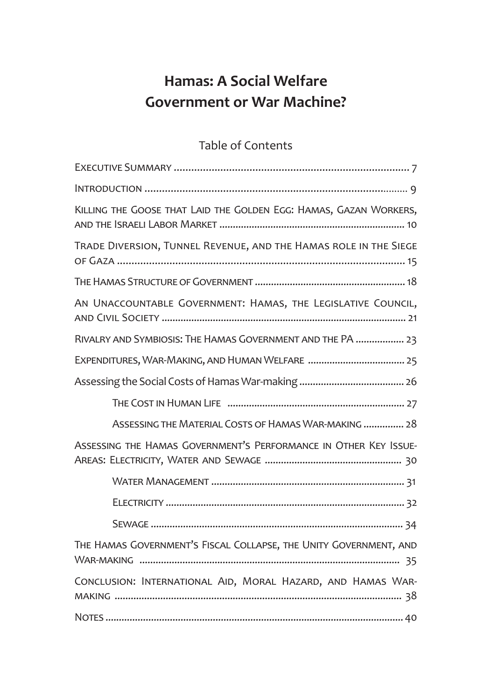# **Hamas: A Social Welfare Government or War Machine?**

## Table of Contents

| KILLING THE GOOSE THAT LAID THE GOLDEN EGG: HAMAS, GAZAN WORKERS, |
|-------------------------------------------------------------------|
| TRADE DIVERSION, TUNNEL REVENUE, AND THE HAMAS ROLE IN THE SIEGE  |
|                                                                   |
| AN UNACCOUNTABLE GOVERNMENT: HAMAS, THE LEGISLATIVE COUNCIL,      |
| RIVALRY AND SYMBIOSIS: THE HAMAS GOVERNMENT AND THE PA  23        |
|                                                                   |
|                                                                   |
|                                                                   |
| ASSESSING THE MATERIAL COSTS OF HAMAS WAR-MAKING  28              |
| ASSESSING THE HAMAS GOVERNMENT'S PERFORMANCE IN OTHER KEY ISSUE-  |
|                                                                   |
|                                                                   |
|                                                                   |
| THE HAMAS GOVERNMENT'S FISCAL COLLAPSE, THE UNITY GOVERNMENT, AND |
| CONCLUSION: INTERNATIONAL AID, MORAL HAZARD, AND HAMAS WAR-       |
|                                                                   |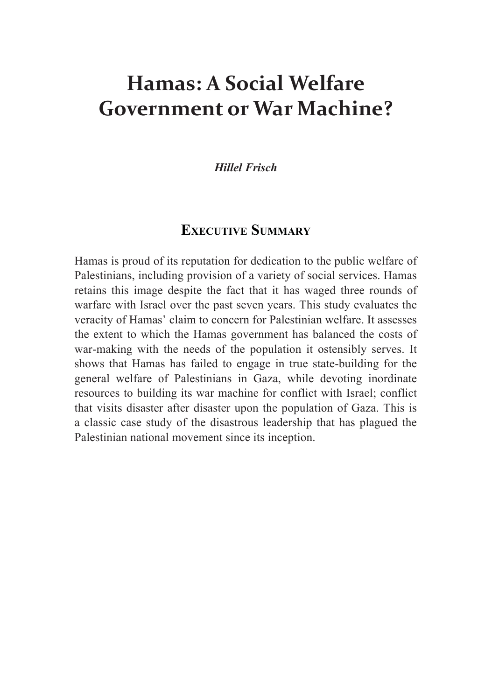# **Hamas: A Social Welfare Government or War Machine?**

#### *Frisch Hillel*

### **EXECUTIVE SUMMARY**

Hamas is proud of its reputation for dedication to the public welfare of Palestinians, including provision of a variety of social services. Hamas retains this image despite the fact that it has waged three rounds of warfare with Israel over the past seven years. This study evaluates the veracity of Hamas' claim to concern for Palestinian welfare. It assesses the extent to which the Hamas government has balanced the costs of war-making with the needs of the population it ostensibly serves. It shows that Hamas has failed to engage in true state-building for the general welfare of Palestinians in Gaza, while devoting inordinate resources to building its war machine for conflict with Israel; conflict that visits disaster after disaster upon the population of Gaza. This is a classic case study of the disastrous leadership that has plagued the Palestinian national movement since its inception.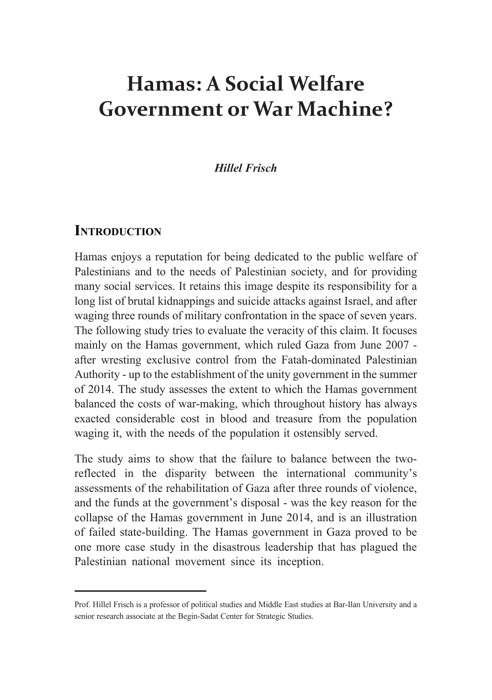# **Hamas: A Social Welfare Government or War Machine?**

#### *Frisch Hillel*

#### **INTRODUCTION**

Hamas enjoys a reputation for being dedicated to the public welfare of Palestinians and to the needs of Palestinian society, and for providing many social services. It retains this image despite its responsibility for a long list of brutal kidnappings and suicide attacks against Israel, and after waging three rounds of military confrontation in the space of seven years. The following study tries to evaluate the veracity of this claim. It focuses mainly on the Hamas government, which ruled Gaza from June 2007 after wresting exclusive control from the Fatah-dominated Palestinian Authority - up to the establishment of the unity government in the summer of 2014. The study assesses the extent to which the Hamas government balanced the costs of war-making, which throughout history has always exacted considerable cost in blood and treasure from the population waging it, with the needs of the population it ostensibly served.

reflected in the disparity between the international community's The study aims to show that the failure to balance between the twoassessments of the rehabilitation of Gaza after three rounds of violence, and the funds at the government's disposal - was the key reason for the collapse of the Hamas government in June 2014, and is an illustration of failed state-building. The Hamas government in Gaza proved to be one more case study in the disastrous leadership that has plagued the Palestinian national movement since its inception.

Prof. Hillel Frisch is a professor of political studies and Middle East studies at Bar-Ilan University and a senior research associate at the Begin-Sadat Center for Strategic Studies.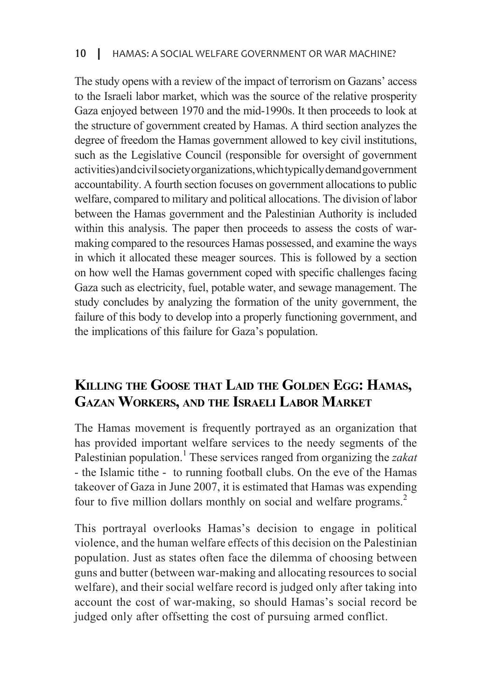The study opens with a review of the impact of terrorism on Gazans' access to the Israeli labor market, which was the source of the relative prosperity Gaza enjoyed between 1970 and the mid-1990s. It then proceeds to look at the structure of government created by Hamas. A third section analyzes the degree of freedom the Hamas government allowed to key civil institutions, such as the Legislative Council (responsible for oversight of government activities) and civil society organizations, which typically demand government accountability. A fourth section focuses on government allocations to public welfare, compared to military and political allocations. The division of labor between the Hamas government and the Palestinian Authority is included within this analysis. The paper then proceeds to assess the costs of war-<br>making compared to the resources Hamas possessed, and examine the ways in which it allocated these meager sources. This is followed by a section on how well the Hamas government coped with specific challenges facing Gaza such as electricity, fuel, potable water, and sewage management. The study concludes by analyzing the formation of the unity government, the failure of this body to develop into a properly functioning government, and the implications of this failure for Gaza's population.

# KILLING THE GOOSE THAT LAID THE GOLDEN EGG: HAMAS, **GAZAN WORKERS, AND THE ISRAELI LABOR MARKET**

The Hamas movement is frequently portrayed as an organization that has provided important welfare services to the needy segments of the Palestinian population.<sup>1</sup> These services ranged from organizing the zakat - the Islamic tithe - to running football clubs. On the eve of the Hamas takeover of Gaza in June 2007, it is estimated that Hamas was expending four to five million dollars monthly on social and welfare programs.<sup>2</sup>

This portrayal overlooks Hamas's decision to engage in political violence, and the human welfare effects of this decision on the Palestinian population. Just as states often face the dilemma of choosing between guns and butter (between war-making and allocating resources to social welfare), and their social welfare record is judged only after taking into account the cost of war-making, so should Hamas's social record be judged only after offsetting the cost of pursuing armed conflict.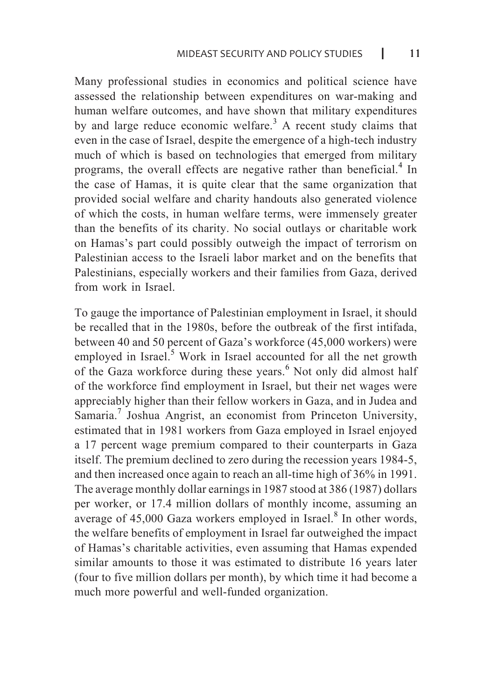Many professional studies in economics and political science have assessed the relationship between expenditures on war-making and human welfare outcomes, and have shown that military expenditures by and large reduce economic welfare.<sup>3</sup> A recent study claims that even in the case of Israel, despite the emergence of a high-tech industry much of which is based on technologies that emerged from military programs, the overall effects are negative rather than beneficial.<sup>4</sup> In the case of Hamas, it is quite clear that the same organization that provided social welfare and charity handouts also generated violence of which the costs, in human welfare terms, were immensely greater than the benefits of its charity. No social outlays or charitable work on Hamas's part could possibly outweigh the impact of terrorism on Palestinian access to the Israeli labor market and on the benefits that Palestinians, especially workers and their families from Gaza, derived from work in Israel.

To gauge the importance of Palestinian employment in Israel, it should be recalled that in the 1980s, before the outbreak of the first intifada, between 40 and 50 percent of Gaza's workforce (45,000 workers) were employed in Israel.<sup>5</sup> Work in Israel accounted for all the net growth of the Gaza workforce during these years.<sup>6</sup> Not only did almost half of the workforce find employment in Israel, but their net wages were appreciably higher than their fellow workers in Gaza, and in Judea and Samaria.<sup>7</sup> Joshua Angrist, an economist from Princeton University, estimated that in 1981 workers from Gaza employed in Israel enjoyed a 17 percent wage premium compared to their counterparts in Gaza itself. The premium declined to zero during the recession years 1984-5, and then increased once again to reach an all-time high of 36% in 1991. The average monthly dollar earnings in 1987 stood at 386 (1987) dollars per worker, or 17.4 million dollars of monthly income, assuming an average of  $45,000$  Gaza workers employed in Israel.<sup>8</sup> In other words, the welfare benefits of employment in Israel far outweighed the impact of Hamas's charitable activities, even assuming that Hamas expended similar amounts to those it was estimated to distribute 16 years later (four to five million dollars per month), by which time it had become a much more powerful and well-funded organization.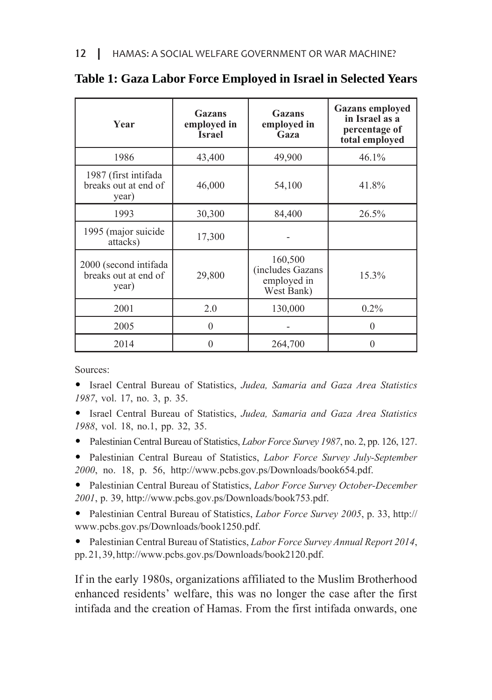| Year                                                   | Gazans<br>employed in<br><b>Israel</b> | Gazans<br>employed in<br>Gaza                           | <b>Gazans</b> employed<br>in Israel as a<br>percentage of<br>total employed |
|--------------------------------------------------------|----------------------------------------|---------------------------------------------------------|-----------------------------------------------------------------------------|
| 1986                                                   | 43,400                                 | 49,900                                                  | 46.1%                                                                       |
| 1987 (first intifada<br>breaks out at end of<br>year)  | 46,000                                 | 54,100                                                  | 41.8%                                                                       |
| 1993                                                   | 30,300                                 | 84,400                                                  | 26.5%                                                                       |
| 1995 (major suicide<br>attacks)                        | 17,300                                 |                                                         |                                                                             |
| 2000 (second intifada<br>breaks out at end of<br>year) | 29,800                                 | 160,500<br>includes Gazans<br>employed in<br>West Bank) | 15.3%                                                                       |
| 2001                                                   | 2.0                                    | 130,000                                                 | $0.2\%$                                                                     |
| 2005                                                   | $\theta$                               |                                                         | $\theta$                                                                    |
| 2014                                                   | 0                                      | 264,700                                                 |                                                                             |

#### **Table 1: Gaza Labor Force Employed in Israel in Selected Years**

Sources:

• Israel Central Bureau of Statistics, *Judea*, *Samaria and Gaza Area Statistics* 1987, vol. 17, no. 3, p. 35.

• Israel Central Bureau of Statistics, Judea, Samaria and Gaza Area Statistics 1988, vol. 18, no.1, pp. 32, 35.

• Palestinian Central Bureau of Statistics, *Labor Force Survey 1987*, no. 2, pp. 126, 127.

**•** Palestinian Central Bureau of Statistics, *Labor Force Survey July-September* 2000, no. 18, p. 56, http://www.pcbs.gov.ps/Downloads/book654.pdf.

**•** Palestinian Central Bureau of Statistics, Labor Force Survey October-December 2001, p. 39, http://www.pcbs.gov.ps/Downloads/book753.pdf.

• Palestinian Central Bureau of Statistics, *Labor Force Survey 2005*, p. 33, http:// www.pcbs.gov.ps/Downloads/book1250.pdf.

• Palestinian Central Bureau of Statistics, *Labor Force Survey Annual Report 2014*, pp.21, 39, http://www.pcbs.gov.ps/Downloads/book2120.pdf.

If in the early 1980s, organizations affiliated to the Muslim Brotherhood enhanced residents' welfare, this was no longer the case after the first intifada and the creation of Hamas. From the first intifada onwards, one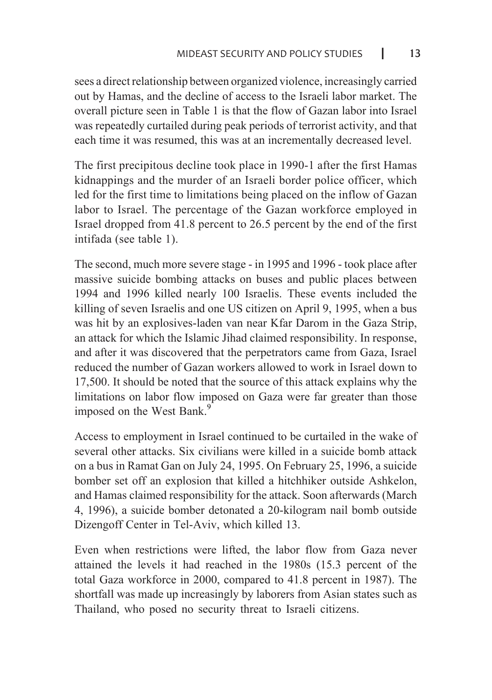sees a direct relationship between organized violence, increasingly carried out by Hamas, and the decline of access to the Israeli labor market. The overall picture seen in Table 1 is that the flow of Gazan labor into Israel was repeatedly curtailed during peak periods of terrorist activity, and that each time it was resumed, this was at an incrementally decreased level.

The first precipitous decline took place in 1990-1 after the first Hamas kidnappings and the murder of an Israeli border police officer, which led for the first time to limitations being placed on the inflow of Gazan labor to Israel. The percentage of the Gazan workforce employed in Israel dropped from 41.8 percent to  $26.5$  percent by the end of the first intifada (see table 1).

The second, much more severe stage - in 1995 and 1996 - took place after massive suicide bombing attacks on buses and public places between 1994 and 1996 killed nearly 100 Israelis. These events included the killing of seven Israelis and one US citizen on April 9, 1995, when a bus was hit by an explosives-laden van near Kfar Darom in the Gaza Strip, an attack for which the Islamic Jihad claimed responsibility. In response, and after it was discovered that the perpetrators came from Gaza, Israel reduced the number of Gazan workers allowed to work in Israel down to 17,500. It should be noted that the source of this attack explains why the limitations on labor flow imposed on Gaza were far greater than those imposed on the West Bank.<sup>9</sup>

Access to employment in Israel continued to be curtailed in the wake of several other attacks. Six civilians were killed in a suicide bomb attack on a bus in Ramat Gan on July 24, 1995. On February 25, 1996, a suicide bomber set off an explosion that killed a hitchhiker outside Ashkelon, and Hamas claimed responsibility for the attack. Soon afterwards (March 4, 1996), a suicide bomber detonated a 20- kilogram nail bomb outside Dizengoff Center in Tel-Aviv, which killed 13.

Even when restrictions were lifted, the labor flow from Gaza never attained the levels it had reached in the 1980s (15.3 percent of the total Gaza workforce in 2000, compared to 41.8 percent in 1987). The shortfall was made up increasingly by laborers from Asian states such as Thailand, who posed no security threat to Israeli citizens.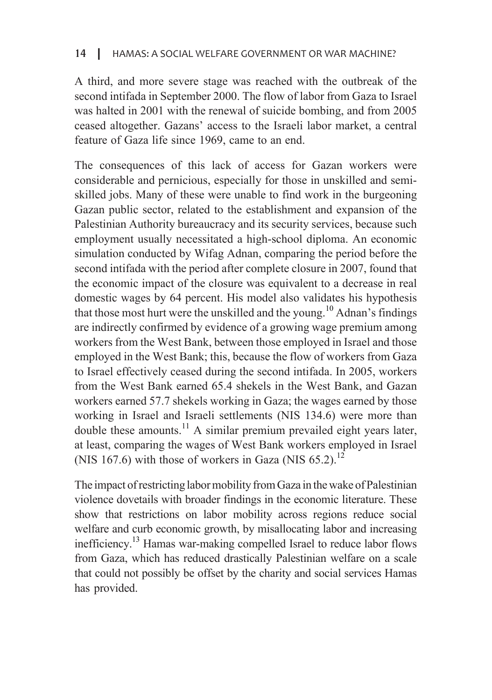A third, and more severe stage was reached with the outbreak of the second intifada in September 2000. The flow of labor from Gaza to Israel was halted in 2001 with the renewal of suicide bombing, and from 2005 ceased altogether. Gazans' access to the Israeli labor market, a central feature of Gaza life since 1969, came to an end.

The consequences of this lack of access for Gazan workers were skilled jobs. Many of these were unable to find work in the burgeoning. considerable and pernicious, especially for those in unskilled and semi-Gazan public sector, related to the establishment and expansion of the Palestinian Authority bureaucracy and its security services, because such employment usually necessitated a high-school diploma. An economic simulation conducted by Wifag Adnan, comparing the period before the second intifada with the period after complete closure in 2007, found that the economic impact of the closure was equivalent to a decrease in real domestic wages by 64 percent. His model also validates his hypothesis that those most hurt were the unskilled and the young.<sup>10</sup> Adnan's findings are indirectly confirmed by evidence of a growing wage premium among workers from the West Bank, between those employed in Israel and those employed in the West Bank; this, because the flow of workers from Gaza to Israel effectively ceased during the second intifada. In 2005, workers from the West Bank earned 65.4 shekels in the West Bank, and Gazan workers earned 57.7 shekels working in Gaza; the wages earned by those working in Israel and Israeli settlements (NIS 134.6) were more than double these amounts.<sup>11</sup> A similar premium prevailed eight years later, at least, comparing the wages of West Bank workers employed in Israel (NIS 167.6) with those of workers in Gaza (NIS 65.2).<sup>12</sup>

The impact of restricting labor mobility from Gaza in the wake of Palestinian violence dovetails with broader findings in the economic literature. These show that restrictions on labor mobility across regions reduce social welfare and curb economic growth, by misallocating labor and increasing inefficiency.<sup>13</sup> Hamas war-making compelled Israel to reduce labor flows from Gaza, which has reduced drastically Palestinian welfare on a scale that could not possibly be offset by the charity and social services Hamas has provided.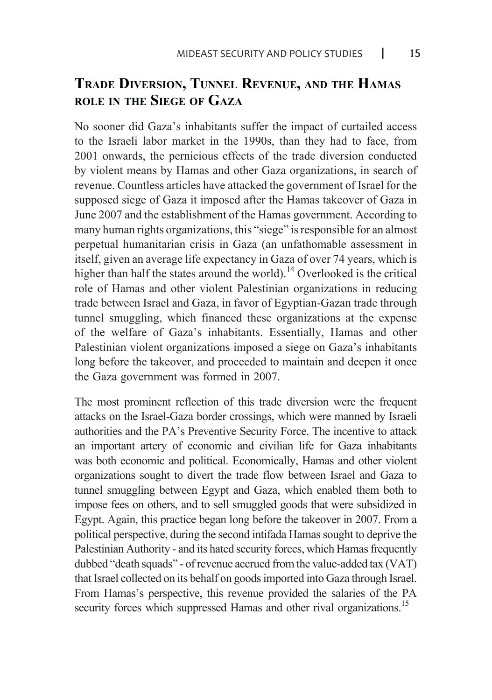## **TRADE DIVERSION, TUNNEL REVENUE, AND THE HAMAS ROLE** IN THE SIEGE OF GAZA

No sooner did Gaza's inhabitants suffer the impact of curtailed access to the Israeli labor market in the 1990s, than they had to face, from 2001 onwards, the pernicious effects of the trade diversion conducted by violent means by Hamas and other Gaza organizations, in search of revenue. Countless articles have attacked the government of Israel for the supposed siege of Gaza it imposed after the Hamas takeover of Gaza in June 2007 and the establishment of the Hamas government. According to many human rights organizations, this "siege" is responsible for an almost perpetual humanitarian crisis in Gaza (an unfathomable assessment in itself, given an average life expectancy in Gaza of over 74 years, which is higher than half the states around the world).<sup>14</sup> Overlooked is the critical role of Hamas and other violent Palestinian organizations in reducing trade between Israel and Gaza, in favor of Egyptian-Gazan trade through tunnel smuggling, which financed these organizations at the expense of the welfare of Gaza's inhabitants. Essentially, Hamas and other Palestinian violent organizations imposed a siege on Gaza's inhabitants long before the takeover, and proceeded to maintain and deepen it once the Gaza government was formed in 2007.

The most prominent reflection of this trade diversion were the frequent attacks on the Israel-Gaza border crossings, which were manned by Israeli authorities and the PA's Preventive Security Force. The incentive to attack an important artery of economic and civilian life for Gaza inhabitants was both economic and political. Economically, Hamas and other violent organizations sought to divert the trade flow between Israel and Gaza to tunnel smuggling between Egypt and Gaza, which enabled them both to impose fees on others, and to sell smuggled goods that were subsidized in Egypt. Again, this practice began long before the takeover in 2007. From a political perspective, during the second intifada Hamas sought to deprive the Palestinian Authority - and its hated security forces, which Hamas frequently dubbed "death squads" - of revenue accrued from the value-added tax (VAT) that Israel collected on its behalf on goods imported into Gaza through Israel. From Hamas's perspective, this revenue provided the salaries of the PA security forces which suppressed Hamas and other rival organizations.<sup>15</sup>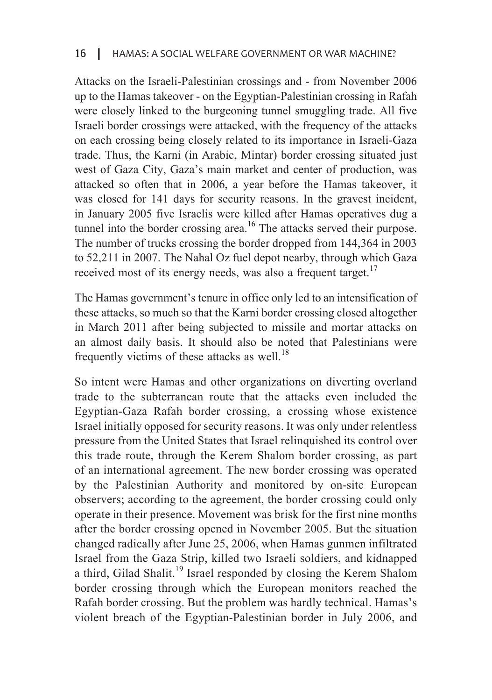Attacks on the Israeli-Palestinian crossings and - from November 2006 up to the Hamas takeover - on the Egyptian-Palestinian crossing in Rafah were closely linked to the burgeoning tunnel smuggling trade. All five Israeli border crossings were attacked, with the frequency of the attacks on each crossing being closely related to its importance in Israeli-Gaza trade. Thus, the Karni (in Arabic, Mintar) border crossing situated just west of Gaza City, Gaza's main market and center of production, was attacked so often that in 2006, a year before the Hamas takeover, it was closed for 141 days for security reasons. In the gravest incident, in January 2005 five Israelis were killed after Hamas operatives dug a tunnel into the border crossing area.<sup>16</sup> The attacks served their purpose. The number of trucks crossing the border dropped from  $144,364$  in  $2003$ to  $52,211$  in 2007. The Nahal Oz fuel depot nearby, through which Gaza received most of its energy needs, was also a frequent target.<sup>17</sup>

The Hamas government's tenure in office only led to an intensification of these attacks, so much so that the Karni border crossing closed altogether in March 2011 after being subjected to missile and mortar attacks on an almost daily basis. It should also be noted that Palestinians were frequently victims of these attacks as well.<sup>18</sup>

So intent were Hamas and other organizations on diverting overland trade to the subterranean route that the attacks even included the Egyptian-Gaza Rafah border crossing, a crossing whose existence Israel initially opposed for security reasons. It was only under relentless pressure from the United States that Israel relinquished its control over this trade route, through the Kerem Shalom border crossing, as part of an international agreement. The new border crossing was operated by the Palestinian Authority and monitored by on-site European observers; according to the agreement, the border crossing could only operate in their presence. Movement was brisk for the first nine months after the border crossing opened in November 2005. But the situation changed radically after June 25, 2006, when Hamas gunmen infiltrated Israel from the Gaza Strip, killed two Israeli soldiers, and kidnapped a third, Gilad Shalit.<sup>19</sup> Israel responded by closing the Kerem Shalom border crossing through which the European monitors reached the Rafah border crossing. But the problem was hardly technical. Hamas's violent breach of the Egyptian-Palestinian border in July 2006, and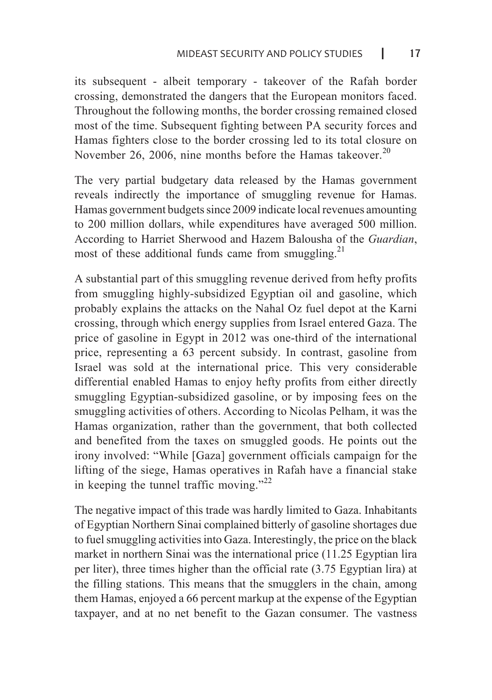its subsequent - albeit temporary - takeover of the Rafah border crossing, demonstrated the dangers that the European monitors faced. Throughout the following months, the border crossing remained closed most of the time. Subsequent fighting between PA security forces and Hamas fighters close to the border crossing led to its total closure on November 26, 2006, nine months before the Hamas takeover.<sup>20</sup>

The very partial budgetary data released by the Hamas government reveals indirectly the importance of smuggling revenue for Hamas. Hamas government budgets since 2009 indicate local revenues amounting to 200 million dollars, while expenditures have averaged 500 million. According to Harriet Sherwood and Hazem Balousha of the *Guardian*, most of these additional funds came from smuggling.<sup>21</sup>

A substantial part of this smuggling revenue derived from hefty profits from smuggling highly-subsidized Egyptian oil and gasoline, which probably explains the attacks on the Nahal Oz fuel depot at the Karni crossing, through which energy supplies from Israel entered Gaza. The price of gasoline in Egypt in 2012 was one-third of the international price, representing a 63 percent subsidy. In contrast, gasoline from Israel was sold at the international price. This very considerable differential enabled Hamas to enjoy hefty profits from either directly smuggling Egyptian-subsidized gasoline, or by imposing fees on the smuggling activities of others. According to Nicolas Pelham, it was the Hamas organization, rather than the government, that both collected and benefited from the taxes on smuggled goods. He points out the irony involved: "While [Gaza] government officials campaign for the lifting of the siege, Hamas operatives in Rafah have a financial stake in keeping the tunnel traffic moving."<sup>22</sup>

The negative impact of this trade was hardly limited to Gaza. Inhabitants of Egyptian Northern Sinai complained bitterly of gasoline shortages due to fuel smuggling activities into Gaza. Interestingly, the price on the black market in northern Sinai was the international price  $(11.25$  Egyptian lira per liter), three times higher than the official rate  $(3.75 \text{ Egyptian} \text{ lira})$  at the filling stations. This means that the smugglers in the chain, among them Hamas, enjoyed a 66 percent markup at the expense of the Egyptian taxpayer, and at no net benefit to the Gazan consumer. The vastness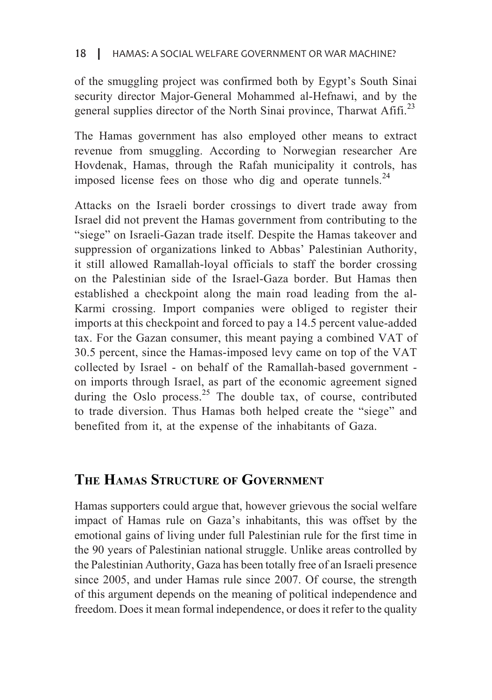#### HAMAS: A SOCIAL WELFARE GOVERNMENT OR WAR MACHINE?  $18$

of the smuggling project was confirmed both by Egypt's South Sinai security director Major-General Mohammed al-Hefnawi, and by the general supplies director of the North Sinai province, Tharwat  $\mathrm{Affi.}^{23}$ 

The Hamas government has also employed other means to extract revenue from smuggling. According to Norwegian researcher Are Hovdenak, Hamas, through the Rafah municipality it controls, has imposed license fees on those who dig and operate tunnels.<sup>24</sup>

Attacks on the Israeli border crossings to divert trade away from Israel did not prevent the Hamas government from contributing to the "siege" on Israeli-Gazan trade itself. Despite the Hamas takeover and suppression of organizations linked to Abbas' Palestinian Authority, it still allowed Ramallah-loyal officials to staff the border crossing on the Palestinian side of the Israel-Gaza border. But Hamas then Karmi crossing. Import companies were obliged to register their established a checkpoint along the main road leading from the alimports at this checkpoint and forced to pay a 14.5 percent value-added tax. For the Gazan consumer, this meant paying a combined VAT of 30.5 percent, since the Hamas-imposed levy came on top of the VAT collected by Israel - on behalf of the Ramallah-based government on imports through Israel, as part of the economic agreement signed during the Oslo process.<sup>25</sup> The double tax, of course, contributed to trade diversion. Thus Hamas both helped create the "siege" and benefited from it, at the expense of the inhabitants of Gaza.

## **THE HAMAS STRUCTURE OF GOVERNMENT**

Hamas supporters could argue that, however grievous the social welfare impact of Hamas rule on Gaza's inhabitants, this was offset by the emotional gains of living under full Palestinian rule for the first time in the 90 years of Palestinian national struggle. Unlike areas controlled by the Palestinian Authority, Gaza has been totally free of an Israeli presence since 2005, and under Hamas rule since 2007. Of course, the strength of this argument depends on the meaning of political independence and freedom. Does it mean formal independence, or does it refer to the quality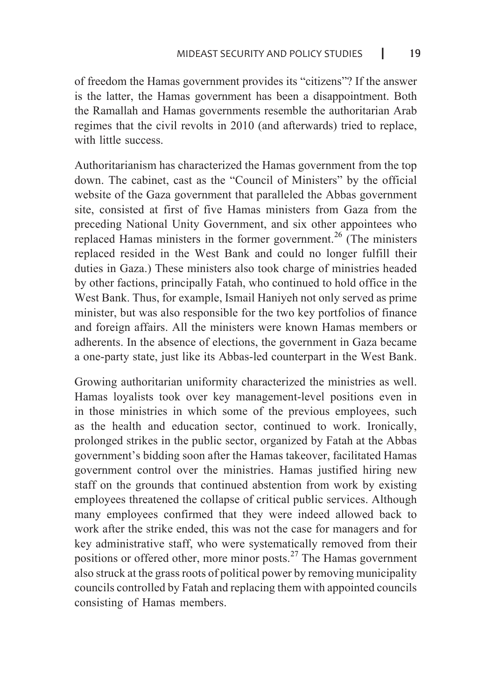of freedom the Hamas government provides its "citizens"? If the answer is the latter, the Hamas government has been a disappointment. Both the Ramallah and Hamas governments resemble the authoritarian Arab regimes that the civil revolts in 2010 (and afterwards) tried to replace, with little success

Authoritarianism has characterized the Hamas government from the top down. The cabinet, cast as the "Council of Ministers" by the official website of the Gaza government that paralleled the Abbas government site, consisted at first of five Hamas ministers from Gaza from the preceding National Unity Government, and six other appointees who replaced Hamas ministers in the former government.<sup>26</sup> (The ministers replaced resided in the West Bank and could no longer fulfill their duties in Gaza.) These ministers also took charge of ministries headed by other factions, principally Fatah, who continued to hold office in the West Bank. Thus, for example, Ismail Haniyeh not only served as prime minister, but was also responsible for the two key portfolios of finance and foreign affairs. All the ministers were known Hamas members or adherents. In the absence of elections, the government in Gaza became a one-party state, just like its Abbas-led counterpart in the West Bank.

Growing authoritarian uniformity characterized the ministries as well. Hamas loyalists took over key management-level positions even in in those ministries in which some of the previous employees, such as the health and education sector, continued to work. Ironically, prolonged strikes in the public sector, organized by Fatah at the Abbas government's bidding soon after the Hamas takeover, facilitated Hamas government control over the ministries. Hamas justified hiring new staff on the grounds that continued abstention from work by existing employees threatened the collapse of critical public services. Although many employees confirmed that they were indeed allowed back to work after the strike ended, this was not the case for managers and for key administrative staff, who were systematically removed from their positions or offered other, more minor posts.<sup>27</sup> The Hamas government also struck at the grass roots of political power by removing municipality councils controlled by Fatah and replacing them with appointed councils consisting of Hamas members.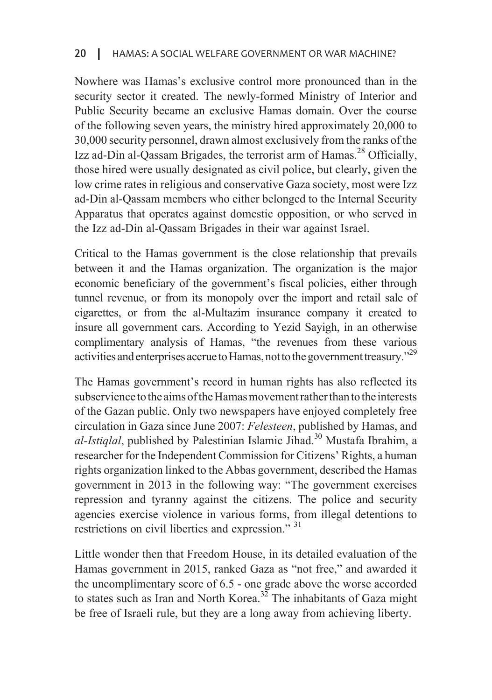Nowhere was Hamas's exclusive control more pronounced than in the security sector it created. The newly-formed Ministry of Interior and Public Security became an exclusive Hamas domain. Over the course of the following seven years, the ministry hired approximately  $20,000$  to 30,000 security personnel, drawn almost exclusively from the ranks of the Izz ad-Din al-Oassam Brigades, the terrorist arm of Hamas.<sup>28</sup> Officially. those hired were usually designated as civil police, but clearly, given the low crime rates in religious and conservative Gaza society, most were Izz ad-Din al-Qassam members who either belonged to the Internal Security Apparatus that operates against domestic opposition, or who served in the Izz ad-Din al-Qassam Brigades in their war against Israel.

Critical to the Hamas government is the close relationship that prevails between it and the Hamas organization. The organization is the major economic beneficiary of the government's fiscal policies, either through tunnel revenue, or from its monopoly over the import and retail sale of cigarettes, or from the al-Multazim insurance company it created to insure all government cars. According to Yezid Sayigh, in an otherwise complimentary analysis of Hamas, "the revenues from these various activities and enterprises accrue to Hamas, not to the government treasury."<sup>29</sup>

The Hamas government's record in human rights has also reflected its subservience to the aims of the Hamas movement rather than to the interests of the Gazan public. Only two newspapers have enjoyed completely free circulation in Gaza since June 2007: *Felesteen*, published by Hamas, and al-Istiglal, published by Palestinian Islamic Jihad.<sup>30</sup> Mustafa Ibrahim, a researcher for the Independent Commission for Citizens' Rights, a human rights organization linked to the Abbas government, described the Hamas government in 2013 in the following way: "The government exercises repression and tyranny against the citizens. The police and security agencies exercise violence in various forms, from illegal detentions to restrictions on civil liberties and expression."  $31$ 

Little wonder then that Freedom House, in its detailed evaluation of the Hamas government in 2015, ranked Gaza as "not free," and awarded it the uncomplimentary score of  $6.5$  - one grade above the worse accorded to states such as Iran and North Korea.<sup>32</sup> The inhabitants of Gaza might be free of Israeli rule, but they are a long away from achieving liberty.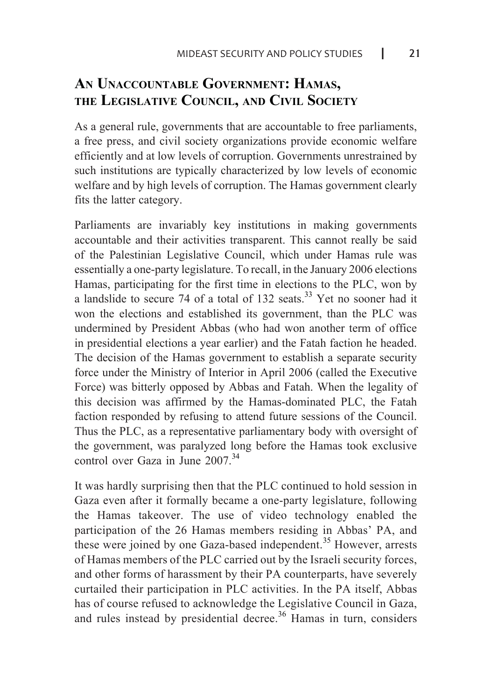# AN UNACCOUNTABLE GOVERNMENT: HAMAS. THE LEGISLATIVE COUNCIL, AND CIVIL SOCIETY

As a general rule, governments that are accountable to free parliaments, a free press, and civil society organizations provide economic welfare efficiently and at low levels of corruption. Governments unrestrained by such institutions are typically characterized by low levels of economic welfare and by high levels of corruption. The Hamas government clearly fits the latter category.

Parliaments are invariably key institutions in making governments accountable and their activities transparent. This cannot really be said of the Palestinian Legislative Council, which under Hamas rule was essentially a one-party legislature. To recall, in the January 2006 elections Hamas, participating for the first time in elections to the PLC, won by a landslide to secure 74 of a total of 132 seats.<sup>33</sup> Yet no sooner had it won the elections and established its government, than the PLC was undermined by President Abbas (who had won another term of office in presidential elections a year earlier) and the Fatah faction he headed. The decision of the Hamas government to establish a separate security force under the Ministry of Interior in April 2006 (called the Executive Force) was bitterly opposed by Abbas and Fatah. When the legality of this decision was affirmed by the Hamas-dominated PLC, the Fatah faction responded by refusing to attend future sessions of the Council. Thus the PLC, as a representative parliamentary body with oversight of the government, was paralyzed long before the Hamas took exclusive control over Gaza in June  $2007^{34}$ 

It was hardly surprising then that the PLC continued to hold session in Gaza even after it formally became a one-party legislature, following the Hamas takeover. The use of video technology enabled the participation of the 26 Hamas members residing in Abbas' PA, and these were joined by one Gaza-based independent.<sup>35</sup> However, arrests of Hamas members of the PLC carried out by the Israeli security forces, and other forms of harassment by their PA counterparts, have severely curtailed their participation in PLC activities. In the PA itself, Abbas has of course refused to acknowledge the Legislative Council in Gaza, and rules instead by presidential decree.<sup>36</sup> Hamas in turn, considers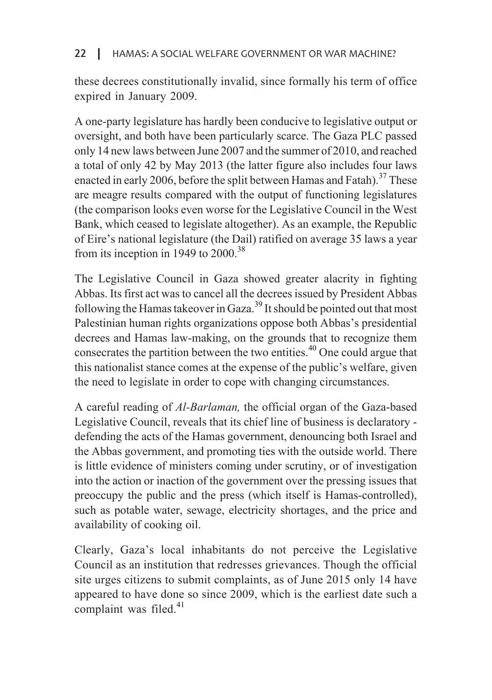#### HAMAS: A SOCIAL WELFARE GOVERNMENT OR WAR MACHINE? I <sup>22</sup>

these decrees constitutionally invalid, since formally his term of office expired in January 2009.

A one-party legislature has hardly been conducive to legislative output or particularly scarce. The Gaza PLC passed oversight, and both have been particularly scarce. The Gaza PLC passed only 14 new laws between June 2007 and the summer of 2010, and reached a total of only 42 by May 2013 (the latter figure also includes four laws enacted in early 2006, before the split between Hamas and Fatah).<sup>37</sup> These are meagre results compared with the output of functioning legislatures (the comparison looks even worse for the Legislative Council in the West) Bank, which ceased to legislate altogether). As an example, the Republic of Eire's national legislature (the Dail) ratified on average 35 laws a vear from its inception in 1949 to  $2000^{38}$ 

The Legislative Council in Gaza showed greater alacrity in fighting Abbas. Its first act was to cancel all the decrees issued by President Abbas following the Hamas takeover in Gaza.<sup>39</sup> It should be pointed out that most Palestinian human rights organizations oppose both Abbas's presidential decrees and Hamas law-making, on the grounds that to recognize them consecrates the partition between the two entities.<sup> $40$ </sup> One could argue that this nationalist stance comes at the expense of the public's welfare, given the need to legislate in order to cope with changing circumstances.

A careful reading of *Al-Barlaman*, the official organ of the Gaza-based Legislative Council, reveals that its chief line of business is declaratory defending the acts of the Hamas government, denouncing both Israel and the Abbas government, and promoting ties with the outside world. There is little evidence of ministers coming under scrutiny, or of investigation into the action or inaction of the government over the pressing issues that preoccupy the public and the press (which itself is Hamas-controlled), such as potable water, sewage, electricity shortages, and the price and availability of cooking oil.

Clearly, Gaza's local inhabitants do not perceive the Legislative Council as an institution that redresses grievances. Though the official site urges citizens to submit complaints, as of June 2015 only 14 have appeared to have done so since 2009, which is the earliest date such a complaint was filed. $41$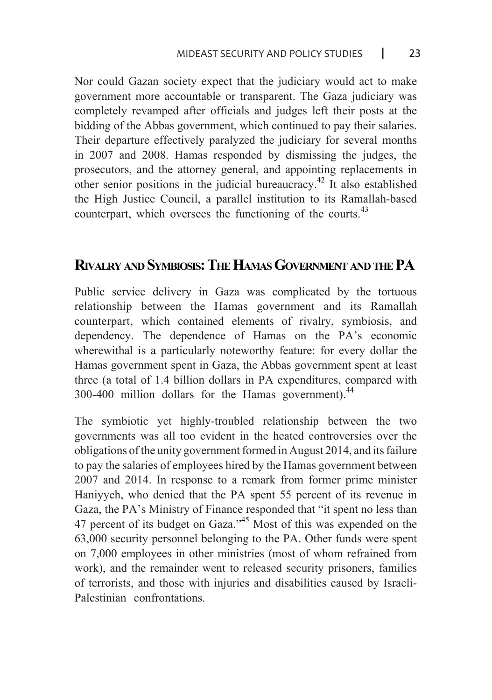Nor could Gazan society expect that the judiciary would act to make government more accountable or transparent. The Gaza judiciary was completely revamped after officials and judges left their posts at the bidding of the Abbas government, which continued to pay their salaries. Their departure effectively paralyzed the judiciary for several months in 2007 and 2008. Hamas responded by dismissing the judges, the prosecutors, and the attorney general, and appointing replacements in other senior positions in the judicial bureaucracy.<sup>42</sup> It also established the High Justice Council, a parallel institution to its Ramallah-based counterpart, which oversees the functioning of the courts.<sup>43</sup>

## **RIVALRY AND SYMBIOSIS: THE HAMAS GOVERNMENT AND THE PA**

Public service delivery in Gaza was complicated by the tortuous relationship between the Hamas government and its Ramallah counterpart, which contained elements of rivalry, symbiosis, and dependency. The dependence of Hamas on the PA's economic where with al is a particularly noteworthy feature: for every dollar the Hamas government spent in Gaza, the Abbas government spent at least three (a total of 1.4 billion dollars in PA expenditures, compared with 300-400 million dollars for the Hamas government). $44$ 

The symbiotic yet highly-troubled relationship between the two governments was all too evident in the heated controversies over the  $\delta$  obligations of the unity government formed in August 2014, and its failure to pay the salaries of employees hired by the Hamas government between  $2007$  and  $2014$ . In response to a remark from former prime minister Haniyyeh, who denied that the PA spent 55 percent of its revenue in Gaza, the PA's Ministry of Finance responded that "it spent no less than 47 percent of its budget on Gaza."<sup>45</sup> Most of this was expended on the  $63,000$  security personnel belonging to the PA. Other funds were spent on 7,000 employees in other ministries (most of whom refrained from work), and the remainder went to released security prisoners, families of terrorists, and those with injuries and disabilities caused by Israeli-Palestinian confrontations.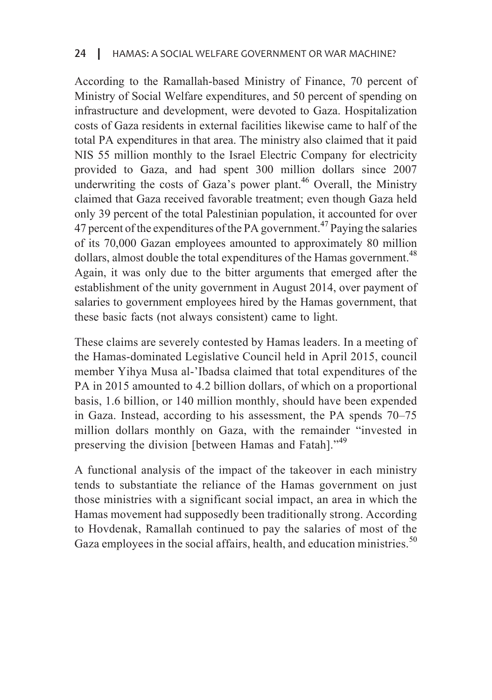According to the Ramallah-based Ministry of Finance, 70 percent of Ministry of Social Welfare expenditures, and 50 percent of spending on infrastructure and development, were devoted to Gaza. Hospitalization costs of Gaza residents in external facilities likewise came to half of the total PA expenditures in that area. The ministry also claimed that it paid NIS 55 million monthly to the Israel Electric Company for electricity provided to Gaza, and had spent 300 million dollars since 2007 underwriting the costs of Gaza's power plant.<sup>46</sup> Overall, the Ministry claimed that Gaza received favorable treatment; even though Gaza held only 39 percent of the total Palestinian population, it accounted for over 47 percent of the expenditures of the PA government.<sup>47</sup> Paying the salaries of its 70,000 Gazan employees amounted to approximately 80 million dollars, almost double the total expenditures of the Hamas government.<sup>48</sup> Again, it was only due to the bitter arguments that emerged after the establishment of the unity government in August 2014, over payment of salaries to government employees hired by the Hamas government, that these basic facts (not always consistent) came to light.

These claims are severely contested by Hamas leaders. In a meeting of the Hamas-dominated Legislative Council held in April 2015, council member Yihya Musa al-'Ibadsa claimed that total expenditures of the PA in 2015 amounted to 4.2 billion dollars, of which on a proportional basis, 1.6 billion, or 140 million monthly, should have been expended in Gaza. Instead, according to his assessment, the PA spends  $70-75$ million dollars monthly on Gaza, with the remainder "invested in preserving the division [between Hamas and Fatah]."<sup>49</sup>

A functional analysis of the impact of the takeover in each ministry tends to substantiate the reliance of the Hamas government on just those ministries with a significant social impact, an area in which the Hamas movement had supposedly been traditionally strong. According to Hovdenak, Ramallah continued to pay the salaries of most of the Gaza employees in the social affairs, health, and education ministries.<sup>50</sup>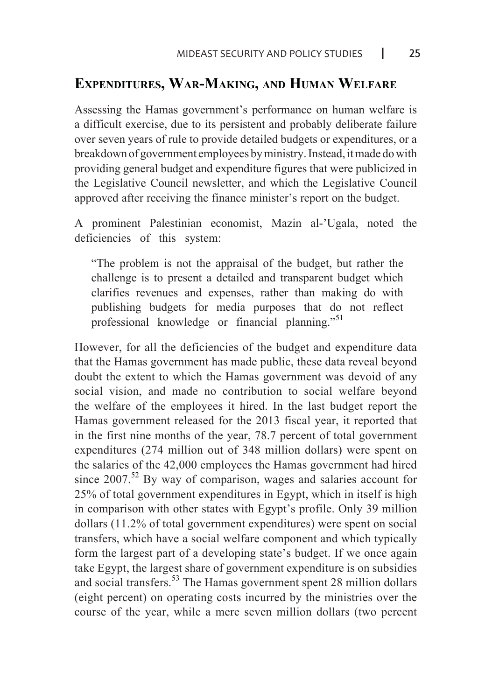### **EXPENDITURES, WAR-MAKING, AND HUMAN WELFARE**

Assessing the Hamas government's performance on human welfare is a difficult exercise, due to its persistent and probably deliberate failure over seven vears of rule to provide detailed budgets or expenditures, or a breakdown of government employees by ministry. Instead, it made do with providing general budget and expenditure figures that were publicized in the Legislative Council newsletter, and which the Legislative Council approved after receiving the finance minister's report on the budget.

A prominent Palestinian economist, Mazin al-'Ugala, noted the deficiencies of this system:

"The problem is not the appraisal of the budget, but rather the challenge is to present a detailed and transparent budget which clarifies revenues and expenses, rather than making do with publishing budgets for media purposes that do not reflect professional knowledge or financial planning."<sup>51</sup>

However, for all the deficiencies of the budget and expenditure data that the Hamas government has made public, these data reveal beyond doubt the extent to which the Hamas government was devoid of any social vision, and made no contribution to social welfare beyond the welfare of the employees it hired. In the last budget report the Hamas government released for the 2013 fiscal year, it reported that in the first nine months of the year, 78.7 percent of total government expenditures  $(274$  million out of 348 million dollars) were spent on the salaries of the 42,000 employees the Hamas government had hired since  $2007$ <sup>52</sup> By way of comparison, wages and salaries account for 25% of total government expenditures in Egypt, which in itself is high in comparison with other states with Egypt's profile. Only 39 million  $dollars (11.2% of total government expenditures) were spent on social$ transfers, which have a social welfare component and which typically form the largest part of a developing state's budget. If we once again take Egypt, the largest share of government expenditure is on subsidies and social transfers.<sup>53</sup> The Hamas government spent 28 million dollars (eight percent) on operating costs incurred by the ministries over the course of the year, while a mere seven million dollars (two percent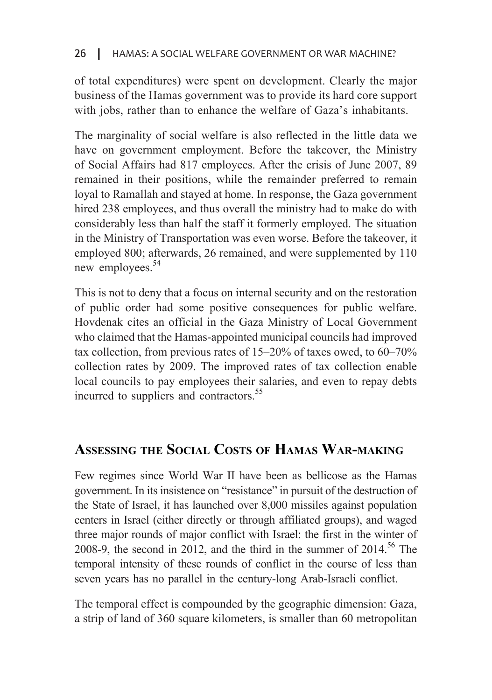of total expenditures) were spent on development. Clearly the major business of the Hamas government was to provide its hard core support with jobs, rather than to enhance the welfare of Gaza's inhabitants.

The marginality of social welfare is also reflected in the little data we have on government employment. Before the takeover, the Ministry of Social Affairs had 817 employees. After the crisis of June 2007, 89 remained in their positions, while the remainder preferred to remain loyal to Ramallah and stayed at home. In response, the Gaza government hired 238 employees, and thus overall the ministry had to make do with considerably less than half the staff it formerly employed. The situation in the Ministry of Transportation was even worse. Before the takeover, it employed 800; afterwards, 26 remained, and were supplemented by 110 new employees. $54$ 

This is not to deny that a focus on internal security and on the restoration of public order had some positive consequences for public welfare. Hovdenak cites an official in the Gaza Ministry of Local Government who claimed that the Hamas-appointed municipal councils had improved tax collection, from previous rates of  $15-20\%$  of taxes owed, to  $60-70\%$ collection rates by 2009. The improved rates of tax collection enable local councils to pay employees their salaries, and even to repay debts incurred to suppliers and contractors.<sup>55</sup>

# ASSESSING THE SOCIAL COSTS OF HAMAS WAR-MAKING

Few regimes since World War II have been as bellicose as the Hamas government. In its insistence on "resistance" in pursuit of the destruction of the State of Israel, it has launched over 8,000 missiles against population centers in Israel (either directly or through affiliated groups), and waged three major rounds of major conflict with Israel: the first in the winter of 2008-9, the second in 2012, and the third in the summer of  $2014$ <sup>56</sup>. The temporal intensity of these rounds of conflict in the course of less than seven years has no parallel in the century-long Arab-Israeli conflict.

The temporal effect is compounded by the geographic dimension: Gaza, a strip of land of 360 square kilometers, is smaller than 60 metropolitan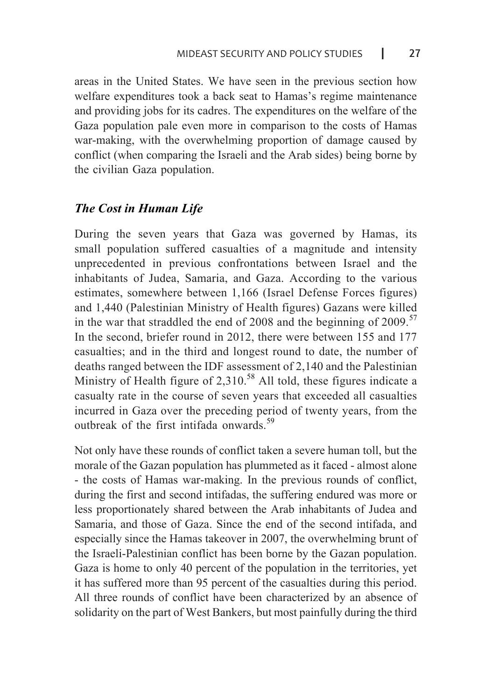areas in the United States. We have seen in the previous section how welfare expenditures took a back seat to Hamas's regime maintenance and providing jobs for its cadres. The expenditures on the welfare of the Gaza population pale even more in comparison to the costs of Hamas war-making, with the overwhelming proportion of damage caused by conflict (when comparing the Israeli and the Arab sides) being borne by the civilian Gaza population.

### *The Cost in Human Life*

During the seven years that Gaza was governed by Hamas, its small population suffered casualties of a magnitude and intensity unprecedented in previous confrontations between Israel and the inhabitants of Judea, Samaria, and Gaza. According to the various estimates, somewhere between 1,166 (Israel Defense Forces figures) and 1,440 (Palestinian Ministry of Health figures) Gazans were killed in the war that straddled the end of 2008 and the beginning of 2009.<sup>57</sup> In the second, briefer round in 2012, there were between 155 and 177 casualties; and in the third and longest round to date, the number of deaths ranged between the IDF assessment of 2,140 and the Palestinian Ministry of Health figure of  $2,310^{58}$  All told, these figures indicate a casualty rate in the course of seven years that exceeded all casualties incurred in Gaza over the preceding period of twenty years, from the outhreak of the first intifada onwards.<sup>59</sup>

Not only have these rounds of conflict taken a severe human toll, but the morale of the Gazan population has plummeted as it faced - almost alone - the costs of Hamas war-making. In the previous rounds of conflict, during the first and second intifadas, the suffering endured was more or less proportionately shared between the Arab inhabitants of Judea and Samaria, and those of Gaza. Since the end of the second intifada, and especially since the Hamas takeover in 2007, the overwhelming brunt of the Israeli-Palestinian conflict has been borne by the Gazan population. Gaza is home to only 40 percent of the population in the territories, yet it has suffered more than 95 percent of the casualties during this period. All three rounds of conflict have been characterized by an absence of solidarity on the part of West Bankers, but most painfully during the third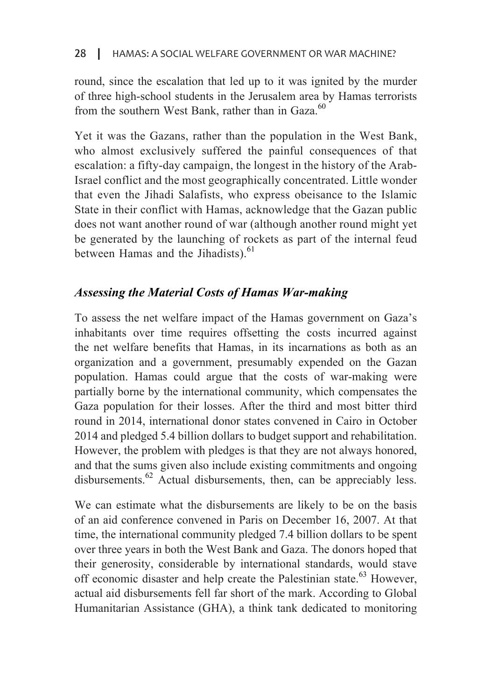#### HAMAS: A SOCIAL WELFARE GOVERNMENT OR WAR MACHINE? I <sup>28</sup>

round, since the escalation that led up to it was ignited by the murder of three high-school students in the Jerusalem area by Hamas terrorists from the southern West Bank, rather than in Gaza.<sup>60</sup>

Yet it was the Gazans, rather than the population in the West Bank, who almost exclusively suffered the painful consequences of that Israel conflict and the most geographically concentrated. Little wonder escalation: a fifty-day campaign, the longest in the history of the Arabthat even the Jihadi Salafists, who express obeisance to the Islamic State in their conflict with Hamas, acknowledge that the Gazan public does not want another round of war (although another round might yet be generated by the launching of rockets as part of the internal feud between Hamas and the Jihadists).<sup>61</sup>

### Assessing the Material Costs of Hamas War-making

To assess the net welfare impact of the Hamas government on Gaza's inhabitants over time requires offsetting the costs incurred against the net welfare benefits that Hamas, in its incarnations as both as an organization and a government, presumably expended on the Gazan population. Hamas could argue that the costs of war-making were partially borne by the international community, which compensates the Gaza population for their losses. After the third and most bitter third round in 2014, international donor states convened in Cairo in October 2014 and pledged 5.4 billion dollars to budget support and rehabilitation. However, the problem with pledges is that they are not always honored, and that the sums given also include existing commitments and ongoing disbursements.<sup>62</sup> Actual disbursements, then, can be appreciably less.

We can estimate what the disbursements are likely to be on the basis of an aid conference convened in Paris on December 16, 2007. At that time, the international community pledged 7.4 billion dollars to be spent over three years in both the West Bank and Gaza. The donors hoped that their generosity, considerable by international standards, would stave off economic disaster and help create the Palestinian state.<sup>63</sup> However, actual aid disbursements fell far short of the mark. According to Global Humanitarian Assistance (GHA), a think tank dedicated to monitoring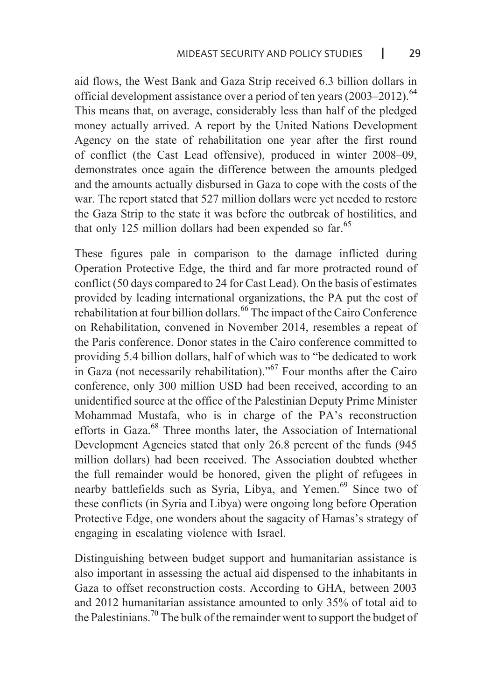aid flows, the West Bank and Gaza Strip received 6.3 billion dollars in official development assistance over a period of ten years  $(2003-2012)$ .<sup>64</sup> This means that, on average, considerably less than half of the pledged money actually arrived. A report by the United Nations Development Agency on the state of rehabilitation one year after the first round of conflict (the Cast Lead offensive), produced in winter 2008–09. demonstrates once again the difference between the amounts pledged and the amounts actually disbursed in Gaza to cope with the costs of the war. The report stated that 527 million dollars were yet needed to restore the Gaza Strip to the state it was before the outbreak of hostilities, and that only 125 million dollars had been expended so far.<sup>65</sup>

These figures pale in comparison to the damage inflicted during Operation Protective Edge, the third and far more protracted round of conflict  $(50 \text{ days compared to 24 for Cast Lead)}$ . On the basis of estimates provided by leading international organizations, the PA put the cost of  $\frac{1}{\pi}$ rehabilitation at four billion dollars. <sup>66</sup>The impact of the Cairo Conference on Rehabilitation, convened in November 2014, resembles a repeat of the Paris conference. Donor states in the Cairo conference committed to providing 5.4 billion dollars, half of which was to "be dedicated to work in Gaza (not necessarily rehabilitation)."<sup>67</sup> Four months after the Cairo conference, only 300 million USD had been received, according to an unidentified source at the office of the Palestinian Deputy Prime Minister Mohammad Mustafa, who is in charge of the PA's reconstruction efforts in Gaza.<sup>68</sup> Three months later, the Association of International Development Agencies stated that only 26.8 percent of the funds (945) million dollars) had been received. The Association doubted whether the full remainder would be honored, given the plight of refugees in nearby battlefields such as Syria, Libya, and Yemen.<sup>69</sup> Since two of these conflicts (in Syria and Libya) were ongoing long before Operation Protective Edge, one wonders about the sagacity of Hamas's strategy of engaging in escalating violence with Israel.

Distinguishing between budget support and humanitarian assistance is also important in assessing the actual aid dispensed to the inhabitants in Gaza to offset reconstruction costs. According to GHA, between 2003 and  $2012$  humanitarian assistance amounted to only  $35%$  of total aid to the Palestinians.<sup>70</sup> The bulk of the remainder went to support the budget of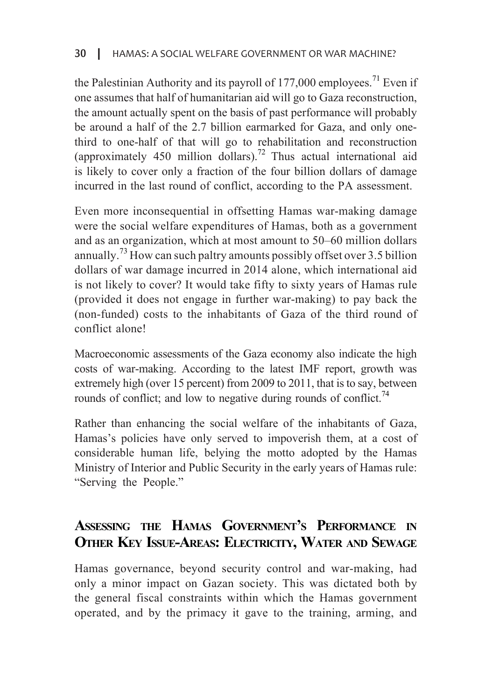the Palestinian Authority and its payroll of 177,000 employees.<sup>71</sup> Even if one assumes that half of humanitarian aid will go to Gaza reconstruction, the amount actually spent on the basis of past performance will probably third to one-half of that will go to rehabilitation and reconstruction be around a half of the 2.7 billion earmarked for Gaza, and only one-(approximately 450 million dollars).<sup>72</sup> Thus actual international aid is likely to cover only a fraction of the four billion dollars of damage incurred in the last round of conflict, according to the PA assessment.

Even more inconsequential in offsetting Hamas war-making damage were the social welfare expenditures of Hamas, both as a government and as an organization, which at most amount to  $50-60$  million dollars annually.<sup>73</sup> How can such paltry amounts possibly offset over 3.5 billion dollars of war damage incurred in 2014 alone, which international aid is not likely to cover? It would take fifty to sixty years of Hamas rule (provided it does not engage in further war-making) to pay back the (non-funded) costs to the inhabitants of Gaza of the third round of conflict alone!

Macroeconomic assessments of the Gaza economy also indicate the high costs of war-making. According to the latest IMF report, growth was extremely high (over 15 percent) from 2009 to 2011, that is to say, between rounds of conflict; and low to negative during rounds of conflict.<sup>74</sup>

Rather than enhancing the social welfare of the inhabitants of Gaza, Hamas's policies have only served to impoverish them, at a cost of considerable human life, belying the motto adopted by the Hamas Ministry of Interior and Public Security in the early years of Hamas rule: "Serving the People."

# ASSESSING THE HAMAS GOVERNMENT'S PERFORMANCE IN **OTHER KEY ISSUE-AREAS: ELECTRICITY, WATER AND SEWAGE**

Hamas governance, beyond security control and war-making, had only a minor impact on Gazan society. This was dictated both by the general fiscal constraints within which the Hamas government operated, and by the primacy it gave to the training, arming, and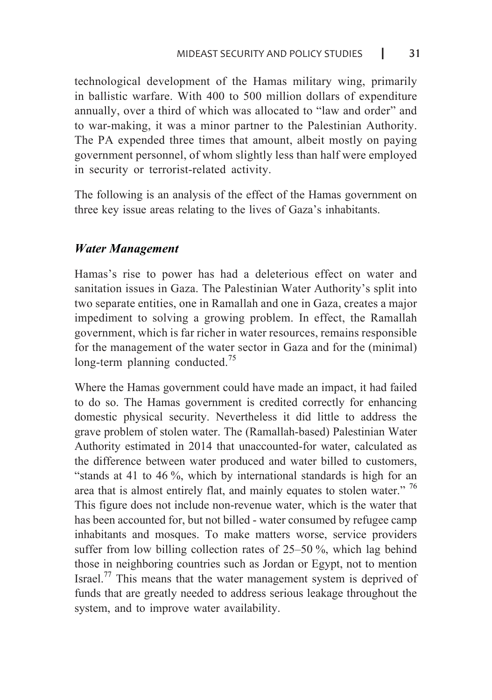technological development of the Hamas military wing, primarily in ballistic warfare. With 400 to 500 million dollars of expenditure annually, over a third of which was allocated to "law and order" and to war-making, it was a minor partner to the Palestinian Authority. The PA expended three times that amount, albeit mostly on paying government personnel, of whom slightly less than half were employed in security or terrorist-related activity.

The following is an analysis of the effect of the Hamas government on three key issue areas relating to the lives of Gaza's inhabitants.

### *Management Water*

Hamas's rise to power has had a deleterious effect on water and sanitation issues in Gaza. The Palestinian Water Authority's split into two separate entities, one in Ramallah and one in Gaza, creates a major impediment to solving a growing problem. In effect, the Ramallah government, which is far richer in water resources, remains responsible for the management of the water sector in Gaza and for the (minimal) long-term planning conducted.<sup>75</sup>

Where the Hamas government could have made an impact, it had failed to do so. The Hamas government is credited correctly for enhancing domestic physical security. Nevertheless it did little to address the grave problem of stolen water. The (Ramallah-based) Palestinian Water Authority estimated in 2014 that unaccounted-for water, calculated as the difference between water produced and water billed to customers, "stands at 41 to 46  $\%$ , which by international standards is high for an area that is almost entirely flat, and mainly equates to stolen water."  $76$ This figure does not include non-revenue water, which is the water that has been accounted for, but not billed - water consumed by refugee camp inhabitants and mosques. To make matters worse, service providers suffer from low billing collection rates of  $25-50\%$ , which lag behind those in neighboring countries such as Jordan or Egypt, not to mention Israel.<sup>77</sup> This means that the water management system is deprived of funds that are greatly needed to address serious leakage throughout the system, and to improve water availability.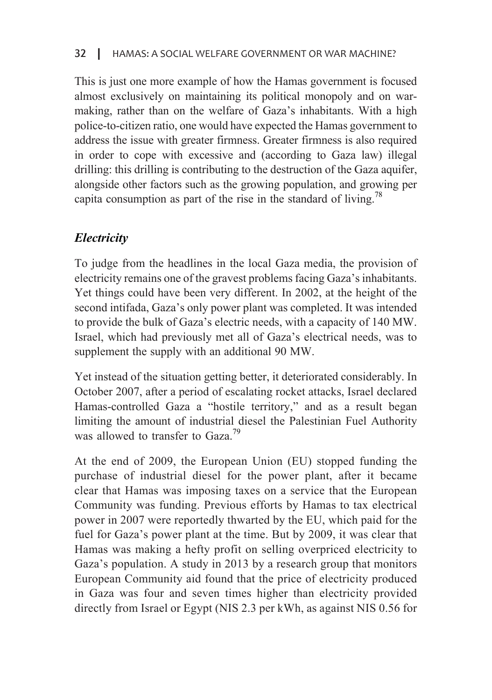This is just one more example of how the Hamas government is focused making, rather than on the welfare of Gaza's inhabitants. With a high almost exclusively on maintaining its political monopoly and on warpolice-to-citizen ratio, one would have expected the Hamas government to address the issue with greater firmness. Greater firmness is also required in order to cope with excessive and (according to Gaza law) illegal drilling: this drilling is contributing to the destruction of the Gaza aquifer, alongside other factors such as the growing population, and growing per capita consumption as part of the rise in the standard of living.<sup>78</sup>

# *Electricity*

To judge from the headlines in the local Gaza media, the provision of electricity remains one of the gravest problems facing Gaza's inhabitants. Yet things could have been very different. In 2002, at the height of the second intifada, Gaza's only power plant was completed. It was intended to provide the bulk of Gaza's electric needs, with a capacity of 140 MW. Israel, which had previously met all of Gaza's electrical needs, was to supplement the supply with an additional 90 MW.

Yet instead of the situation getting better, it deteriorated considerably. In October 2007, after a period of escalating rocket attacks, Israel declared Hamas-controlled Gaza a "hostile territory," and as a result began limiting the amount of industrial diesel the Palestinian Fuel Authority was allowed to transfer to  $Gaza.<sup>79</sup>$ 

At the end of 2009, the European Union (EU) stopped funding the purchase of industrial diesel for the power plant, after it became clear that Hamas was imposing taxes on a service that the European Community was funding. Previous efforts by Hamas to tax electrical power in 2007 were reportedly thwarted by the EU, which paid for the fuel for Gaza's power plant at the time. But by 2009, it was clear that Hamas was making a hefty profit on selling overpriced electricity to Gaza's population. A study in 2013 by a research group that monitors European Community aid found that the price of electricity produced in Gaza was four and seven times higher than electricity provided directly from Israel or Egypt (NIS 2.3 per kWh, as against NIS 0.56 for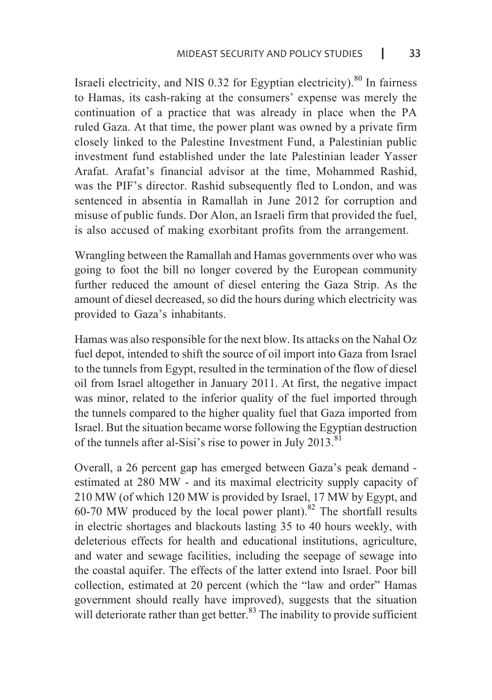Israeli electricity, and NIS  $0.32$  for Egyptian electricity).<sup>80</sup> In fairness to Hamas, its cash-raking at the consumers' expense was merely the continuation of a practice that was already in place when the PA ruled Gaza. At that time, the power plant was owned by a private firm closely linked to the Palestine Investment Fund, a Palestinian public investment fund established under the late Palestinian leader Yasser Arafat, Arafat's financial advisor at the time, Mohammed Rashid, was the PIF's director. Rashid subsequently fled to London, and was sentenced in absentia in Ramallah in June 2012 for corruption and misuse of public funds. Dor Alon, an Israeli firm that provided the fuel, is also accused of making exorbitant profits from the arrangement.

Wrangling between the Ramallah and Hamas governments over who was going to foot the bill no longer covered by the European community further reduced the amount of diesel entering the Gaza Strip. As the amount of diesel decreased, so did the hours during which electricity was provided to Gaza's inhabitants.

Hamas was also responsible for the next blow. Its attacks on the Nahal Oz fuel depot, intended to shift the source of oil import into Gaza from Israel to the tunnels from Egypt, resulted in the termination of the flow of diesel oil from Israel altogether in January 2011. At first, the negative impact was minor, related to the inferior quality of the fuel imported through the tunnels compared to the higher quality fuel that Gaza imported from Israel. But the situation became worse following the Egyptian destruction of the tunnels after al-Sisi's rise to power in July 2013.<sup>81</sup>

Overall, a 26 percent gap has emerged between Gaza's peak demand estimated at 280 MW - and its maximal electricity supply capacity of  $210$  MW (of which 120 MW is provided by Israel, 17 MW by Egypt, and 60-70 MW produced by the local power plant).<sup>82</sup> The shortfall results in electric shortages and blackouts lasting 35 to 40 hours weekly, with deleterious effects for health and educational institutions, agriculture, and water and sewage facilities, including the seepage of sewage into the coastal aquifer. The effects of the latter extend into Israel. Poor bill collection, estimated at 20 percent (which the "law and order" Hamas government should really have improved), suggests that the situation will deteriorate rather than get better.<sup>83</sup> The inability to provide sufficient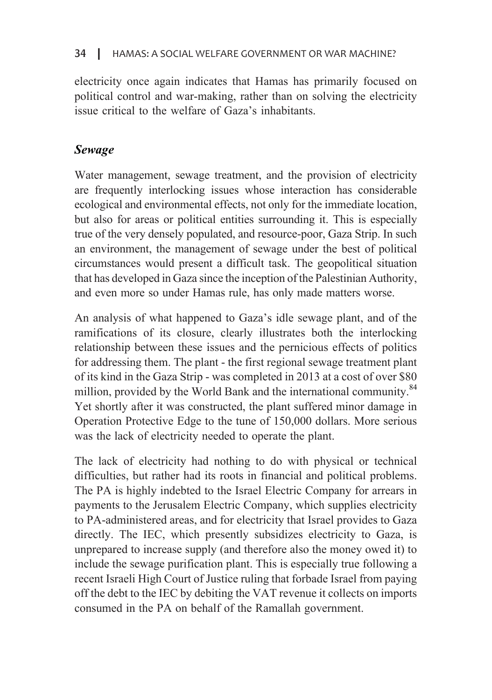#### HAMAS: A SOCIAL WELFARE GOVERNMENT OR WAR MACHINE?  $34$

electricity once again indicates that Hamas has primarily focused on political control and war-making, rather than on solving the electricity issue critical to the welfare of Gaza's inhabitants.

### *Sewage*

Water management, sewage treatment, and the provision of electricity are frequently interlocking issues whose interaction has considerable ecological and environmental effects, not only for the immediate location. but also for areas or political entities surrounding it. This is especially true of the very densely populated, and resource-poor, Gaza Strip. In such an environment, the management of sewage under the best of political circumstances would present a difficult task. The geopolitical situation that has developed in Gaza since the inception of the Palestinian Authority, and even more so under Hamas rule, has only made matters worse.

An analysis of what happened to Gaza's idle sewage plant, and of the ramifications of its closure, clearly illustrates both the interlocking relationship between these issues and the pernicious effects of politics for addressing them. The plant - the first regional sewage treatment plant of its kind in the Gaza Strip - was completed in 2013 at a cost of over \$80 million, provided by the World Bank and the international community.<sup>84</sup> Yet shortly after it was constructed, the plant suffered minor damage in Operation Protective Edge to the tune of 150,000 dollars. More serious was the lack of electricity needed to operate the plant.

The lack of electricity had nothing to do with physical or technical difficulties, but rather had its roots in financial and political problems. The PA is highly indebted to the Israel Electric Company for arrears in payments to the Jerusalem Electric Company, which supplies electricity to PA-administered areas, and for electricity that Israel provides to Gaza directly. The IEC, which presently subsidizes electricity to Gaza, is unprepared to increase supply (and therefore also the money owed it) to include the sewage purification plant. This is especially true following a recent Israeli High Court of Justice ruling that forbade Israel from paying off the debt to the IEC by debiting the VAT revenue it collects on imports consumed in the PA on behalf of the Ramallah government.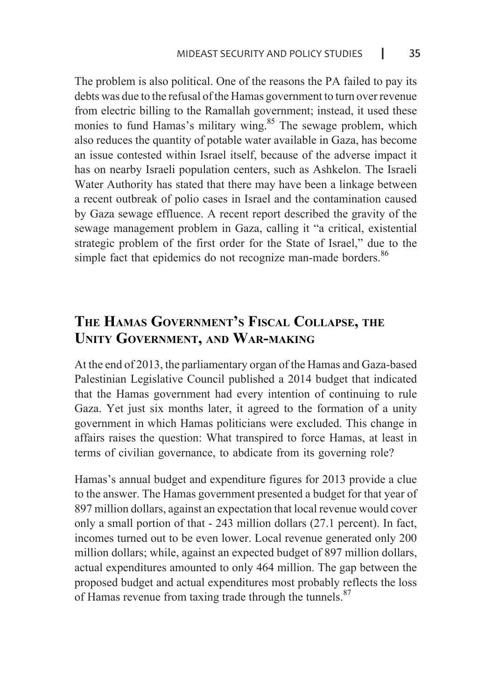The problem is also political. One of the reasons the PA failed to pay its debts was due to the refusal of the Hamas government to turn over revenue from electric billing to the Ramallah government; instead, it used these monies to fund Hamas's military wing.<sup>85</sup> The sewage problem, which also reduces the quantity of potable water available in Gaza, has become an issue contested within Israel itself, because of the adverse impact it has on nearby Israeli population centers, such as Ashkelon. The Israeli Water Authority has stated that there may have been a linkage between a recent outbreak of polio cases in Israel and the contamination caused by Gaza sewage effluence. A recent report described the gravity of the sewage management problem in Gaza, calling it "a critical, existential strategic problem of the first order for the State of Israel," due to the simple fact that epidemics do not recognize man-made borders.<sup>86</sup>

# THE HAMAS GOVERNMENT'S FISCAL COLLAPSE, THE **UNITY GOVERNMENT, AND WAR-MAKING**

At the end of 2013, the parliamentary organ of the Hamas and Gaza-based Palestinian Legislative Council published a 2014 budget that indicated that the Hamas government had every intention of continuing to rule Gaza. Yet just six months later, it agreed to the formation of a unity government in which Hamas politicians were excluded. This change in affairs raises the question: What transpired to force Hamas, at least in terms of civilian governance, to abdicate from its governing role?

Hamas's annual budget and expenditure figures for 2013 provide a clue to the answer. The Hamas government presented a budget for that year of 897 million dollars, against an expectation that local revenue would cover only a small portion of that  $-243$  million dollars (27.1 percent). In fact, incomes turned out to be even lower. Local revenue generated only 200 million dollars; while, against an expected budget of 897 million dollars, actual expenditures amounted to only 464 million. The gap between the proposed budget and actual expenditures most probably reflects the loss of Hamas revenue from taxing trade through the tunnels. $87$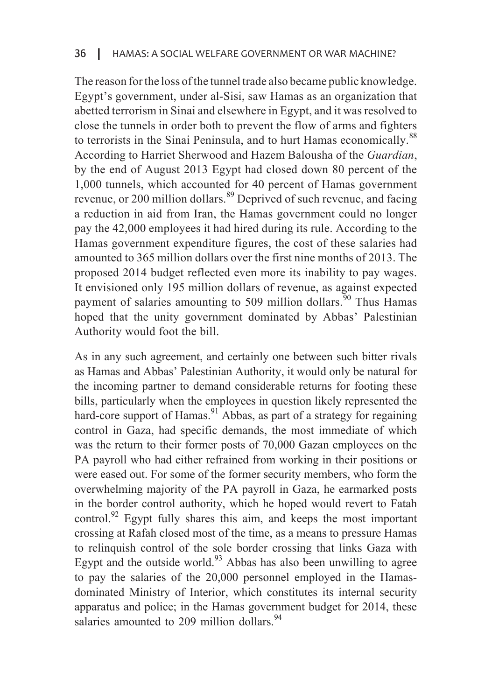The reason for the loss of the tunnel trade also became public knowledge. Egypt's government, under al-Sisi, saw Hamas as an organization that abetted terrorism in Sinai and elsewhere in Egypt, and it was resolved to close the tunnels in order both to prevent the flow of arms and fighters to terrorists in the Sinai Peninsula, and to hurt Hamas economically.<sup>88</sup> According to Harriet Sherwood and Hazem Balousha of the *Guardian*, by the end of August 2013 Egypt had closed down 80 percent of the 1,000 tunnels, which accounted for 40 percent of Hamas government revenue, or 200 million dollars.<sup>89</sup> Deprived of such revenue, and facing a reduction in aid from Iran, the Hamas government could no longer pay the 42,000 employees it had hired during its rule. According to the Hamas government expenditure figures, the cost of these salaries had amounted to 365 million dollars over the first nine months of 2013. The proposed 2014 budget reflected even more its inability to pay wages. It envisioned only 195 million dollars of revenue, as against expected payment of salaries amounting to 509 million dollars.  $\frac{90}{90}$  Thus Hamas hoped that the unity government dominated by Abbas' Palestinian Authority would foot the bill.

As in any such agreement, and certainly one between such bitter rivals as Hamas and Abbas' Palestinian Authority, it would only be natural for the incoming partner to demand considerable returns for footing these bills, particularly when the employees in question likely represented the hard-core support of Hamas.<sup>91</sup> Abbas, as part of a strategy for regaining control in Gaza, had specific demands, the most immediate of which was the return to their former posts of 70,000 Gazan employees on the PA payroll who had either refrained from working in their positions or were eased out. For some of the former security members, who form the overwhelming majority of the PA payroll in Gaza, he earmarked posts in the border control authority, which he hoped would revert to Fatah control.<sup>92</sup> Egypt fully shares this aim, and keeps the most important crossing at Rafah closed most of the time, as a means to pressure Hamas to relinquish control of the sole border crossing that links Gaza with Egypt and the outside world.<sup>93</sup> Abbas has also been unwilling to agree to pay the salaries of the 20,000 personnel employed in the Hamas-dominated Ministry of Interior, which constitutes its internal security apparatus and police; in the Hamas government budget for 2014, these salaries amounted to 209 million dollars.  $94$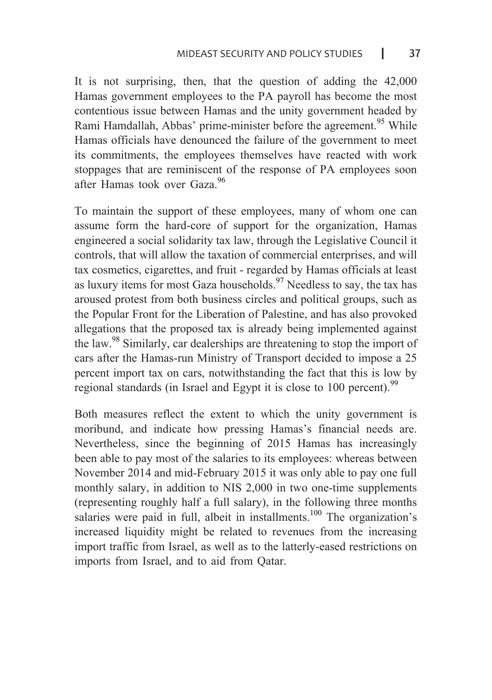It is not surprising, then, that the question of adding the  $42,000$ Hamas government employees to the PA payroll has become the most contentious issue between Hamas and the unity government headed by Rami Hamdallah, Abbas' prime-minister before the agreement.<sup>95</sup> While Hamas officials have denounced the failure of the government to meet its commitments, the employees themselves have reacted with work stoppages that are reminiscent of the response of PA employees soon after Hamas took over Gaza<sup>96</sup>

To maintain the support of these employees, many of whom one can assume form the hard-core of support for the organization, Hamas engineered a social solidarity tax law, through the Legislative Council it controls, that will allow the taxation of commercial enterprises, and will tax cosmetics, cigarettes, and fruit - regarded by Hamas officials at least as luxury items for most Gaza households.<sup>97</sup> Needless to say, the tax has aroused protest from both business circles and political groups, such as the Popular Front for the Liberation of Palestine, and has also provoked allegations that the proposed tax is already being implemented against the law.<sup>98</sup> Similarly, car dealerships are threatening to stop the import of cars after the Hamas-run Ministry of Transport decided to impose a 25 percent import tax on cars, notwithstanding the fact that this is low by regional standards (in Israel and Egypt it is close to 100 percent).<sup>99</sup>

Both measures reflect the extent to which the unity government is moribund, and indicate how pressing Hamas's financial needs are. Nevertheless, since the beginning of 2015 Hamas has increasingly been able to pay most of the salaries to its employees: whereas between November 2014 and mid-February 2015 it was only able to pay one full monthly salary, in addition to NIS 2,000 in two one-time supplements (representing roughly half a full salary), in the following three months salaries were paid in full, albeit in installments.<sup>100</sup> The organization's increased liquidity might be related to revenues from the increasing import traffic from Israel, as well as to the latterly-eased restrictions on imports from Israel, and to aid from Qatar.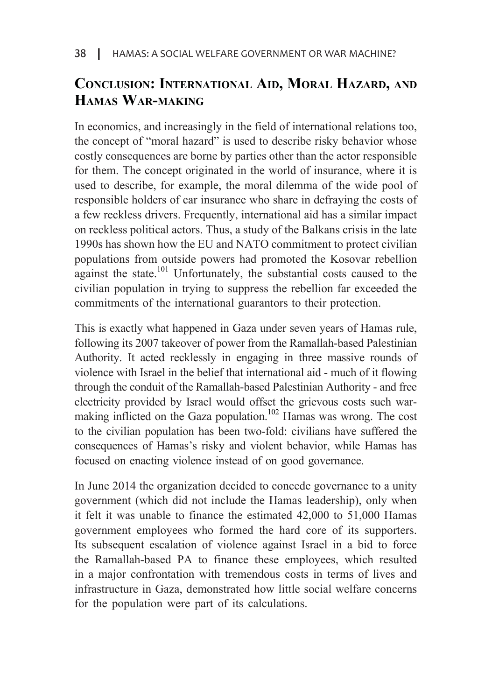# **CONCLUSION: INTERNATIONAL AID, MORAL HAZARD, AND HAMAS WAR-MAKING**

In economics, and increasingly in the field of international relations too, the concept of "moral hazard" is used to describe risky behavior whose costly consequences are borne by parties other than the actor responsible for them. The concept originated in the world of insurance, where it is used to describe, for example, the moral dilemma of the wide pool of responsible holders of car insurance who share in defraying the costs of a few reckless drivers. Frequently, international aid has a similar impact on reckless political actors. Thus, a study of the Balkans crisis in the late 1990s has shown how the EU and NATO commitment to protect civilian populations from outside powers had promoted the Kosovar rebellion against the state.<sup>101</sup> Unfortunately, the substantial costs caused to the civilian population in trying to suppress the rebellion far exceeded the commitments of the international guarantors to their protection.

This is exactly what happened in Gaza under seven years of Hamas rule, following its 2007 takeover of power from the Ramallah-based Palestinian Authority. It acted recklessly in engaging in three massive rounds of violence with Israel in the belief that international aid - much of it flowing through the conduit of the Ramallah-based Palestinian Authority - and free making inflicted on the Gaza population.<sup>102</sup> Hamas was wrong. The cost electricity provided by Israel would offset the grievous costs such warto the civilian population has been two-fold: civilians have suffered the consequences of Hamas's risky and violent behavior, while Hamas has focused on enacting violence instead of on good governance.

In June 2014 the organization decided to concede governance to a unity government (which did not include the Hamas leadership), only when it felt it was unable to finance the estimated  $42,000$  to  $51,000$  Hamas government employees who formed the hard core of its supporters. Its subsequent escalation of violence against Israel in a bid to force the Ramallah-based PA to finance these employees, which resulted in a major confrontation with tremendous costs in terms of lives and infrastructure in Gaza, demonstrated how little social welfare concerns for the population were part of its calculations.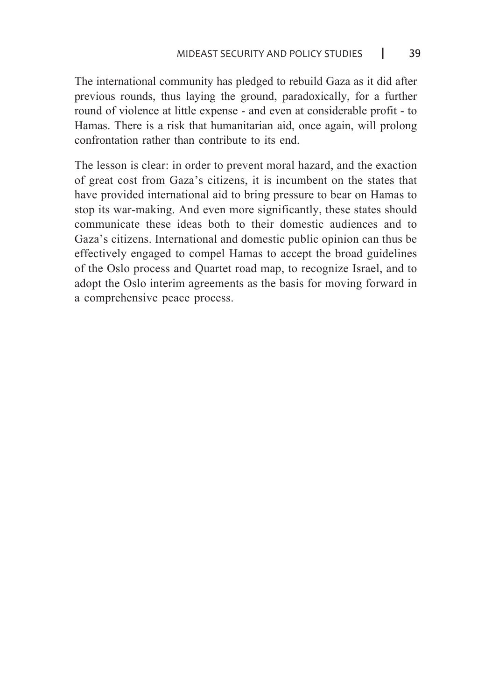The international community has pledged to rebuild Gaza as it did after previous rounds, thus laying the ground, paradoxically, for a further round of violence at little expense - and even at considerable profit - to Hamas. There is a risk that humanitarian aid, once again, will prolong confrontation rather than contribute to its end

The lesson is clear: in order to prevent moral hazard, and the exaction of great cost from Gaza's citizens, it is incumbent on the states that have provided international aid to bring pressure to bear on Hamas to stop its war-making. And even more significantly, these states should communicate these ideas both to their domestic audiences and to Gaza's citizens. International and domestic public opinion can thus be effectively engaged to compel Hamas to accept the broad guidelines of the Oslo process and Quartet road map, to recognize Israel, and to adopt the Oslo interim agreements as the basis for moving forward in a comprehensive peace process.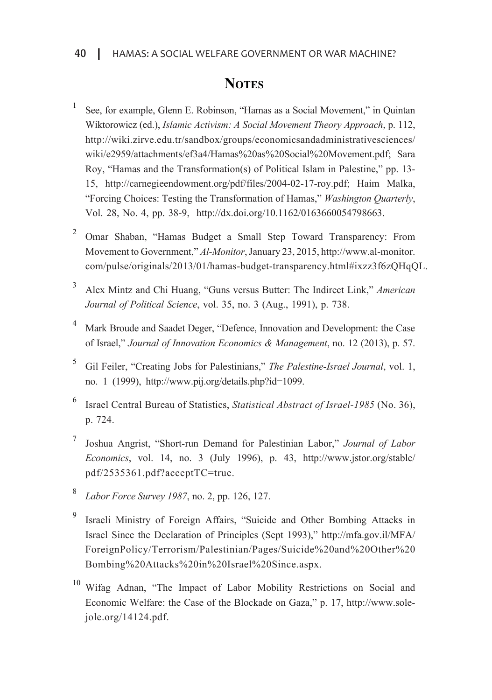# **NOTES**

- <sup>1</sup> See, for example, Glenn E. Robinson, "Hamas as a Social Movement," in Quintan Wiktorowicz (ed.), *Islamic Activism: A Social Movement Theory Approach*, p. 112, http://wiki.zirve.edu.tr/sandbox/groups/economicsandadministrativesciences/ wiki/e2959/attachments/ef3a4/Hamas%20as%20Social%20Movement.ndf: Sara Roy, "Hamas and the Transformation (s) of Political Islam in Palestine," pp. 13-15, http://carnegieendowment.org/pdf/files/2004-02-17-roy.pdf; Haim Malka, *<sup>\*</sup>Forcing Choices: Testing the Transformation of Hamas," Washington Ouarterly,* Vol. 28, No. 4, pp. 38-9, http://dx.doi.org/10.1162/0163660054798663.
- <sup>2</sup> Omar Shaban, "Hamas Budget a Small Step Toward Transparency: From Movement to Government," Al-Monitor, January 23, 2015, http://www.al-monitor. .com/pulse/originals/2013/01/hamas-budget-transparency.html#ixzz3f6zOHqOL.
- <sup>3</sup> Alex Mintz and Chi Huang, "Guns versus Butter: The Indirect Link," *American* Journal of Political Science, vol. 35, no. 3 (Aug., 1991), p. 738.
- <sup>4</sup> Mark Broude and Saadet Deger, "Defence, Innovation and Development: the Case of Israel," Journal of Innovation Economics & Management, no. 12 (2013), p. 57.
- <sup>5</sup> Gil Feiler, "Creating Jobs for Palestinians," *The Palestine-Israel Journal*, vol. 1, no. 1 (1999), http://www.pij.org/details.php?id=1099.
- <sup>6</sup> Israel Central Bureau of Statistics, *Statistical Abstract of Israel-1985* (No. 36), p. 724.
- <sup>7</sup> Joshua Angrist, "Short-run Demand for Palestinian Labor," *Journal of Labor Economics*, vol. 14, no. 3 (July 1996), p. 43, http://www.jstor.org/stable/ pdf/2535361.pdf?acceptTC=true.
- <sup>8</sup> *Labor Force Survey 1987*, no. 2, pp. 126, 127.
- Israeli Ministry of Foreign Affairs, "Suicide and Other Bombing Attacks in Israel Since the Declaration of Principles (Sept 1993)," http://mfa.gov.il/MFA/ ForeignPolicy/Terrorism/Palestinian/Pages/Suicide%20and%20Other%20 Bombing%20Attacks%20in%20Israel%20Since.aspx.
- <sup>10</sup> Wifag Adnan, "The Impact of Labor Mobility Restrictions on Social and Economic Welfare: the Case of the Blockade on Gaza," p. 17, http://www.sole-<br>jole.org/14124.pdf.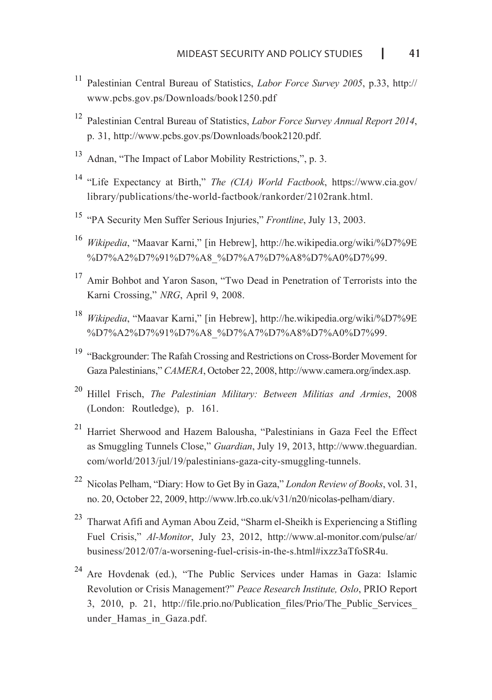- <sup>11</sup> Palestinian Central Bureau of Statistics, *Labor Force Survey 2005*, p.33, http:// www.pcbs.gov.ps/Downloads/book1250.pdf
- <sup>12</sup> Palestinian Central Bureau of Statistics, *Labor Force Survey Annual Report 2014*,  $p. 31$ , http://www.pcbs.gov.ps/Downloads/book2120.pdf.
- $13$  Adnan, "The Impact of Labor Mobility Restrictions,", p. 3.
- <sup>14</sup> "Life Expectancy at Birth," *The (CIA) World Factbook*, https://www.cia.gov/ library/publications/the-world-factbook/rankorder/2102rank.html.
- <sup>15</sup> "PA Security Men Suffer Serious Injuries," *Frontline*, July 13, 2003.
- <sup>16</sup> Wikipedia, "Maavar Karni," [in Hebrew], http://he.wikipedia.org/wiki/%D7%9E %D7%A2%D7%91%D7%A8 %D7%A7%D7%A8%D7%A0%D7%99.
- $17$  Amir Bohbot and Yaron Sason, "Two Dead in Penetration of Terrorists into the Karni Crossing," NRG, April 9, 2008.
- <sup>18</sup> Wikipedia, "Maavar Karni," [in Hebrew], http://he.wikipedia.org/wiki/%D7%9E %D7%A2%D7%91%D7%A8 %D7%A7%D7%A8%D7%A0%D7%99.
- $19$  "Backgrounder: The Rafah Crossing and Restrictions on Cross-Border Movement for Gaza Palestinians." *CAMERA*, October 22, 2008, http://www.camera.org/index.asp.
- <sup>20</sup> Hillel Frisch, The Palestinian Military: Between Militias and Armies, 2008  $(London: Routledge)$ , p. 161.
- <sup>21</sup> Harriet Sherwood and Hazem Balousha, "Palestinians in Gaza Feel the Effect as Smuggling Tunnels Close," *Guardian*, July 19, 2013, http://www.theguardian. com/world/2013/jul/19/palestinians-gaza-city-smuggling-tunnels.
- <sup>22</sup> Nicolas Pelham, "Diary: How to Get By in Gaza," *London Review of Books*, vol. 31, no. 20, October 22, 2009, http://www.lrb.co.uk/v31/n20/nicolas-pelham/diary.
- <sup>23</sup> Tharwat Afifi and Ayman Abou Zeid, "Sharm el-Sheikh is Experiencing a Stifling Fuel Crisis," Al-Monitor, July 23, 2012, http://www.al-monitor.com/pulse/ar/ business/2012/07/a-worsening-fuel-crisis-in-the-s.html#ixzz3aTfoSR4u.
- $24$  Are Hovdenak (ed.), "The Public Services under Hamas in Gaza: Islamic Revolution or Crisis Management?" *Peace Research Institute, Oslo, PRIO Report* 3, 2010, p. 21, http://file.prio.no/Publication files/Prio/The Public Services under Hamas in Gaza.pdf.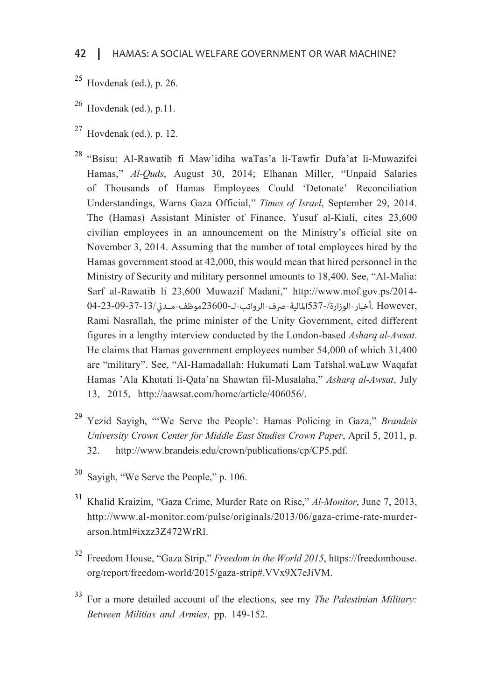- $25$  Hovdenak (ed.), p. 26.
- $^{26}$  Hovdenak (ed.), p.11.
- $27$  Hovdenak (ed.), p. 12.

<sup>28</sup> "Bsisu: Al-Rawatib fi Maw'idiha waTas'a li-Tawfir Dufa'at li-Muwazifei Hamas," Al-Quds, August 30, 2014; Elhanan Miller, "Unpaid Salaries of Thousands of Hamas Employees Could 'Detonate' Reconciliation Understandings, Warns Gaza Official," *Times of Israel*, September 29, 2014. The (Hamas) Assistant Minister of Finance, Yusuf al-Kiali, cites 23,600 civilian employees in an announcement on the Ministry's official site on November 3, 2014. Assuming that the number of total employees hired by the Hamas government stood at 42,000, this would mean that hired personnel in the Ministry of Security and military personnel amounts to 18,400. See, "Al-Malia: Sarf al-Rawatib li 23,600 Muwazif Madani," http://www.mof.gov.ps/2014- ,However .أخبار-الوزارة537-/المالية-صرف-الرواتب-لـ23600-موظف-مــدين04-23-09-37-13/ Rami Nasrallah, the prime minister of the Unity Government, cited different figures in a lengthy interview conducted by the London-based *Asharq al-Awsat*. He claims that Hamas government employees number 54,000 of which 31,400 are "military". See. "Al-Hamadallah: Hukumati Lam Tafshal waLaw Waqafat Hamas 'Ala Khutati li-Qata'na Shawtan fil-Musalaha," Asharq al-Awsat, July 13, 2015, http://aawsat.com/home/article/406056/.

- <sup>29</sup> Yezid Savigh, "'We Serve the People': Hamas Policing in Gaza," Brandeis University Crown Center for Middle East Studies Crown Paper, April 5, 2011, p. 32. http://www.brandeis.edu/crown/publications/cp/CP5.pdf.
- $30$  Sayigh, "We Serve the People," p. 106.
- <sup>31</sup> Khalid Kraizim, "Gaza Crime, Murder Rate on Rise," Al-Monitor, June 7, 2013, http://www.al-monitor.com/pulse/originals/2013/06/gaza-crime-rate-murder-<br>arson.html#ixzz3Z472WrRl.
- <sup>32</sup> Freedom House, "Gaza Strip," *Freedom in the World 2015*, https://freedomhouse. .erg/report/freedom-world/2015/gaza-strip#.VVx9X7eJiVM.
- <sup>33</sup> For a more detailed account of the elections, see my *The Palestinian Military*: Between Militias and Armies, pp. 149-152.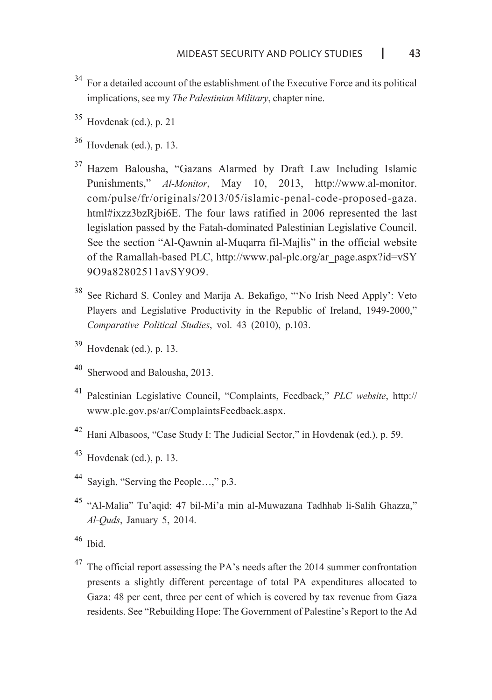- <sup>34</sup> For a detailed account of the establishment of the Executive Force and its political implications, see my *The Palestinian Military*, chapter nine.
- $35$  Hovdenak (ed.), p. 21
- $36$  Hovdenak (ed.), p. 13.
- $37$  Hazem Balousha, "Gazans Alarmed by Draft Law Including Islamic Punishments." *Al-Monitor*, May 10, 2013, http://www.al-monitor. com/pulse/fr/originals/2013/05/islamic-penal-code-proposed-gaza. html#ixzz3bzRjbi6E. The four laws ratified in 2006 represented the last legislation passed by the Fatah-dominated Palestinian Legislative Council. See the section "Al-Qawnin al-Muqarra-fil-Majlis" in the official website of the Ramallah-based PLC, http://www.pal-plc.org/ar page.aspx?id= $vSY$ 909a82802511avSY909.
- <sup>38</sup> See Richard S. Conley and Marija A. Bekafigo, "'No Irish Need Apply': Veto Players and Legislative Productivity in the Republic of Ireland, 1949-2000." Comparative Political Studies, vol. 43 (2010), p.103.
- $39$  Hovdenak (ed.), p. 13.
- Sherwood and Balousha, 2013.
- <sup>41</sup> Palestinian Legislative Council, "Complaints, Feedback," *PLC website*, http:// www.plc.gov.ps/ar/ComplaintsFeedback.aspx.
- <sup>42</sup> Hani Albasoos, "Case Study I: The Judicial Sector," in Hovdenak (ed.), p. 59.
- $43$  Hovdenak (ed.), p. 13.
- Sayigh, "Serving the People ...," p.3.
- <sup>45</sup> "Al-Malia" Tu'aqid: 47 bil-Mi'a min al-Muwazana Tadhhab li-Salih Ghazza," Al-*Quds*, January 5, 2014.
- $46$  Ibid.
- $47$  The official report assessing the PA's needs after the 2014 summer confrontation presents a slightly different percentage of total PA expenditures allocated to Gaza: 48 per cent, three per cent of which is covered by tax revenue from Gaza residents. See "Rebuilding Hope: The Government of Palestine's Report to the Ad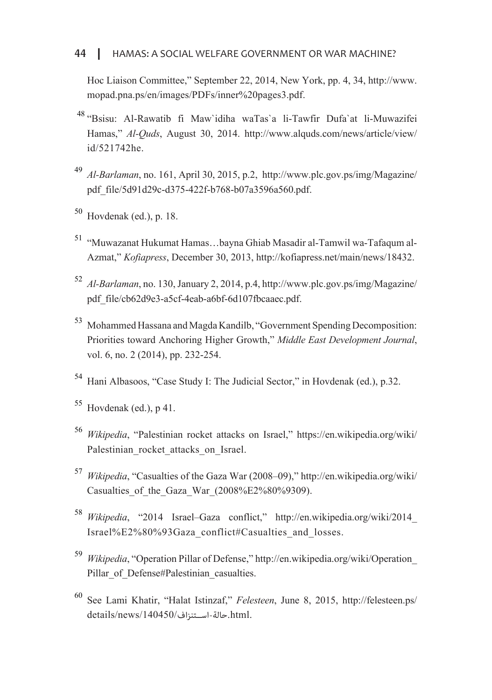#### HAMAS: A SOCIAL WELFARE GOVERNMENT OR WAR MACHINE? I <sup>44</sup>

Hoc Liaison Committee," September 22, 2014, New York, pp. 4, 34, http://www. mopad.pna.ps/en/images/PDFs/inner%20pages3.pdf.

- <sup>48</sup> "Bsisu: Al-Rawatib fi Maw'idiha waTas'a li-Tawfir Dufa'at li-Muwazifei Hamas." *Al-Ouds.* August 30, 2014. http://www.alquds.com/news/article/view/ id/521742he.
- *Al-Barlaman, no.* 161, April 30, 2015, p.2, http://www.plc.gov.ps/img/Magazine/ ndf file/5d91d29c-d375-422f-b768-b07a3596a560.ndf.
- $50$  Hovdenak (ed.), p. 18.
- Azmat," *Kofiapress*, December 30, 2013, http://kofiapress.net/main/news/18432. <sup>51</sup> "Muwazanat Hukumat Hamas ...bayna Ghiab Masadir al-Tamwil wa-Tafaqum al-
- <sup>52</sup> *Al-Barlaman, no.* 130, January 2, 2014, p.4, http://www.plc.gov.ps/img/Magazine/ pdf file/cb62d9e3-a5cf-4eab-a6bf-6d107fbcaaec.pdf.
- <sup>53</sup> Mohammed Hassana and Magda Kandilb, "Government Spending Decomposition: Priorities toward Anchoring Higher Growth," *Middle East Development Journal*, vol. 6, no. 2 (2014), pp. 232-254.
- <sup>54</sup> Hani Albasoos, "Case Study I: The Judicial Sector," in Hovdenak (ed.), p.32.
- $55$  Hovdenak (ed.), p 41.
- <sup>56</sup> *Wikipedia*, "Palestinian rocket attacks on Israel," https://en.wikipedia.org/wiki/ Palestinian rocket attacks on Israel.
- <sup>57</sup> Wikipedia. "Casualties of the Gaza War (2008–09)," http://en.wikipedia.org/wiki/ Casualties of the Gaza War (2008%E2%80%9309).
- <sup>58</sup> Wikipedia, "2014 Israel-Gaza conflict," http://en.wikipedia.org/wiki/2014 Israel%E2%80%93Gaza conflict#Casualties and losses.
- <sup>59</sup> Wikipedia, "Operation Pillar of Defense," http://en.wikipedia.org/wiki/Operation Pillar of Defense#Palestinian casualties.
- <sup>60</sup> See Lami Khatir. "Halat Istinzaf." *Felesteen*, June 8, 2015, http://felesteen.ps/ .html.حالة-اســتنزاف/140450/news/details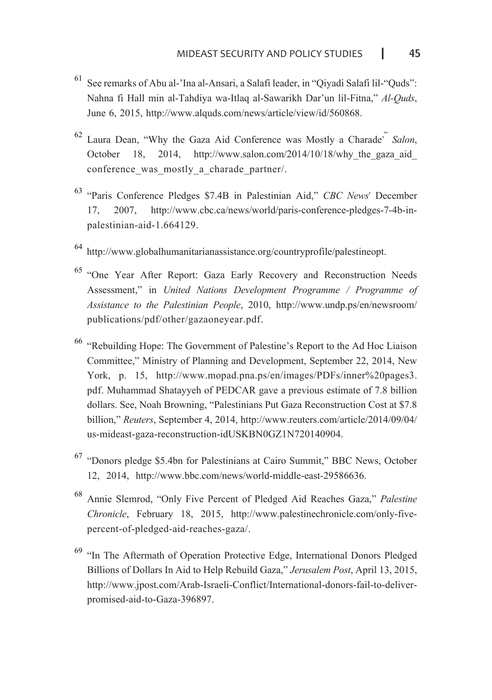- $61$  See remarks of Abu al-'Ina al-Ansari, a Salafi leader, in "Qiyadi Salafi lil-"Quds": Nahna fi Hall min al-Tahdiya wa-Itlaq al-Sawarikh Dar'un lil-Fitna," Al-Ouds, June 6, 2015, http://www.alquds.com/news/article/view/id/560868.
- <sup>62</sup> Laura Dean, "Why the Gaza Aid Conference was Mostly a Charade" *Salon*, October 18. 2014. http://www.salon.com/2014/10/18/why the gaza aid October 18, 2014, http://www.salon.com/2014/10/18/why the gaza aid conference was mostly a charade partner/.
- <sup>63</sup> "Paris Conference Pledges \$7.4B in Palestinian Aid," CBC News' December 17, 2007, http://www.cbc.ca/news/world/paris-conference-pledges-7-4b-in-<br>palestinian-aid-1.664129.
- $64$  http://www.globalhumanitarianassistance.org/countryprofile/palestineopt.
- $65$  "One Year After Report: Gaza Early Recovery and Reconstruction Needs Assessment." in *United Nations Development Programme / Programme of Assistance to the Palestinian People, 2010, http://www.undp.ps/en/newsroom/* publications/pdf/other/gazaoneyear.pdf.
- <sup>66</sup> "Rebuilding Hope: The Government of Palestine's Report to the Ad Hoc Liaison Committee," Ministry of Planning and Development, September 22, 2014, New York, p. 15, http://www.mopad.pna.ps/en/images/PDFs/inner%20pages3. pdf. Muhammad Shatayyeh of PEDCAR gave a previous estimate of 7.8 billion dollars. See, Noah Browning, "Palestinians Put Gaza Reconstruction Cost at \$7.8 billion," Reuters, September 4, 2014, http://www.reuters.com/article/2014/09/04/ us-mideast-gaza-reconstruction-idUSKBN0GZ1N720140904.
- $^{67}$  "Donors pledge \$5.4bn for Palestinians at Cairo Summit," BBC News, October 12, 2014, http://www.bbc.com/news/world-middle-east-29586636.
- <sup>68</sup> Annie Slemrod. "Only Five Percent of Pledged Aid Reaches Gaza," Palestine Chronicle, February 18, 2015, http://www.palestinechronicle.com/only-five-<br>percent-of-pledged-aid-reaches-gaza/.
- $69$  "In The Aftermath of Operation Protective Edge, International Donors Pledged Billions of Dollars In Aid to Help Rebuild Gaza," Jerusalem Post, April 13, 2015, http://www.jpost.com/Arab-Israeli-Conflict/International-donors-fail-to-deliver-<br>promised-aid-to-Gaza-396897.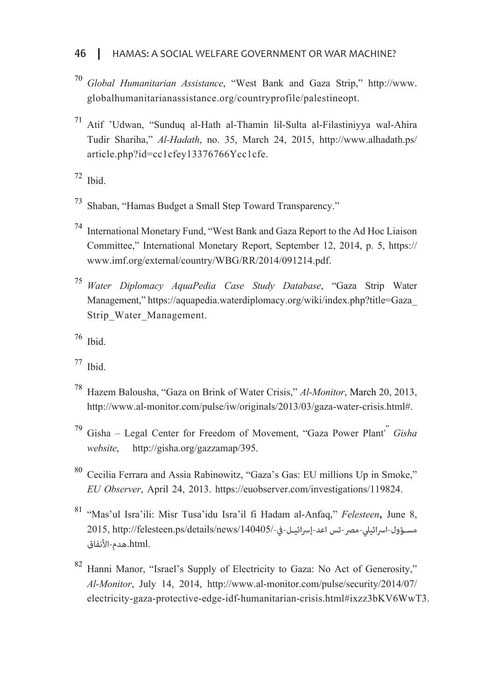#### HAMAS: A SOCIAL WELFARE GOVERNMENT OR WAR MACHINE? 46

- <sup>70</sup> Global Humanitarian Assistance, "West Bank and Gaza Strip," http://www. globalhumanitarianassistance.org/countryprofile/palestineopt.
- $171$  Atif 'Udwan, "Sunduq al-Hath al-Thamin lil-Sulta al-Filastiniyya wal-Ahira Tudir Shariha." *Al-Hadath.* no. 35, March 24, 2015, http://www.alhadath.ps/ article.php?id=cc1cfey13376766Ycc1cfe.

 $72$  Thid.

- <sup>73</sup> Shaban, "Hamas Budget a Small Step Toward Transparency."
- <sup>74</sup> International Monetary Fund, "West Bank and Gaza Report to the Ad Hoc Liaison Committee." International Monetary Report, September 12, 2014, p. 5, https:// www.imf.org/external/country/WBG/RR/2014/091214.pdf.
- <sup>75</sup> Water Diplomacy AquaPedia Case Study Database, "Gaza Strip Water Management." https://aquapedia.waterdiplomacy.org/wiki/index.php?title=Gaza Strip Water Management.
- $76$  Ibid.
- $^{77}$  Ibid
- <sup>78</sup> Hazem Balousha, "Gaza on Brink of Water Crisis," *Al-Monitor*, March 20, 2013, http://www.al-monitor.com/pulse/iw/originals/2013/03/gaza-water-crisis.html#.
- *Gisha* Legal Center for Freedom of Movement. "Gaza Power Plant" *Gisha* website, http://gisha.org/gazzamap/395.
- <sup>80</sup> Cecilia Ferrara and Assia Rabinowitz, "Gaza's Gas: EU millions Up in Smoke," *EU Observer*, April 24, 2013. https://euobserver.com/investigations/119824.
- <sup>81</sup> "Mas'ul Isra'ili: Misr Tusa'idu Isra'il fi Hadam al-Anfaq," Felesteen, June 8, مسبة ول-إسرائيلي-مصر-تس اعد-إسرائيل-في-/2015, http://felesteen.ps/details/news/140405 .html.هدم-الأنفاق
- <sup>82</sup> Hanni Manor, "Israel's Supply of Electricity to Gaza: No Act of Generosity," *Al-Monitor*, July 14, 2014, http://www.al-monitor.com/pulse/security/2014/07/ electricity-gaza-protective-edge-idf-humanitarian-crisis.html#ixzz3bKV6WwT3.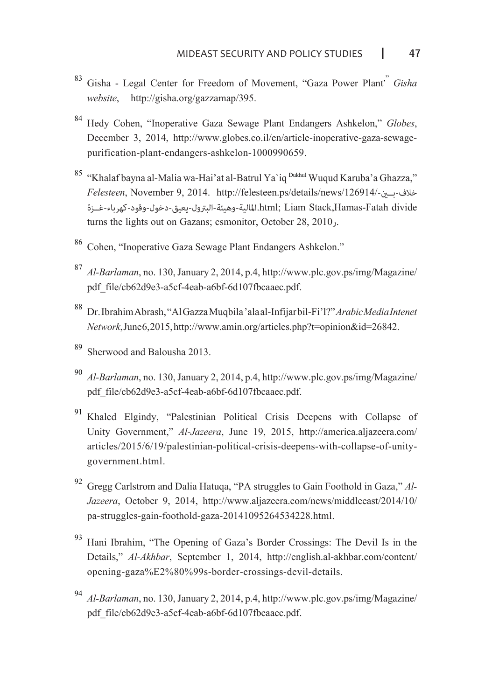- <sup>83</sup> Gisha Legal Center for Freedom of Movement, "Gaza Power Plant<sup>"</sup> Gisha website, http://gisha.org/gazzamap/395.
- <sup>84</sup> Hedy Cohen, "Inoperative Gaza Sewage Plant Endangers Ashkelon," Globes, December 3, 2014, http://www.globes.co.il/en/article-inoperative-gaza-sewage-<br>purification-plant-endangers-ashkelon-1000990659.
- <sup>85</sup> "Khalaf bayna al-Malia wa-Hai'at al-Batrul Ya'iq <sup>Dukhul</sup> Wuqud Karuba'a Ghazza," خلاف-بــني/126914/-news/details/ps.felesteen://http 2014. 9, November ,*Felesteen* divide Fatah-Hamas,Stack Liam; html.المالية-وهيئة-البترول-يعيق-دخول-وقود-كهرباء-غــزة turns the lights out on Gazans; csmonitor, October  $28$ ,  $2010$ .
- 86 Cohen. "Inoperative Gaza Sewage Plant Endangers Ashkelon."
- <sup>87</sup> *Al-Barlaman, no.* 130, January 2, 2014, p.4, http://www.plc.gov.ps/img/Magazine/ pdf.file/cb62d9e3-a5cf-4eab-a6bf-6d107fbcaaec.pdf.
- *Dr. Ibrahim Abrash,* "Al Gazza Muqbila 'ala al-Infijar bil-Fi'l?" *Arabic Media Intenet*  $Network$ , June 6, 2015, http://www.amin.org/articles.php?t=opinion&id=26842.
- Sherwood and Balousha 2013.
- *Al-Barlaman, no.* 130, January 2, 2014, p.4, http://www.plc.gov.ps/img/Magazine/ pdf file/cb62d9e3-a5cf-4eab-a6bf-6d107fbcaaec.pdf.
- $91$  Khaled Elgindy, "Palestinian Political Crisis Deepens with Collapse of Unity Government," Al-Jazeera, June 19, 2015, http://america.aljazeera.com/ articles/2015/6/19/palestinian-political-crisis-deepens-with-collapse-of-unity-<br>government.html.
- *Jazeera*, October 9, 2014, http://www.aljazeera.com/news/middleeast/2014/10/ <sup>92</sup> Gregg Carlstrom and Dalia Hatuqa, "PA struggles to Gain Foothold in Gaza," Alpa-struggles-gain-foothold-gaza-20141095264534228.html.
- <sup>93</sup> Hani Ibrahim, "The Opening of Gaza's Border Crossings: The Devil Is in the Details," Al-Akhbar, September 1, 2014, http://english.al-akhbar.com/content/ opening-gaza%E2%80%99s-border-crossings-devil-details.
- <sup>94</sup> *Al-Barlaman, no.* 130, January 2, 2014, p.4, http://www.plc.gov.ps/img/Magazine/ pdf.file/cb62d9e3-a5cf-4eab-a6bf-6d107fbcaaec.pdf.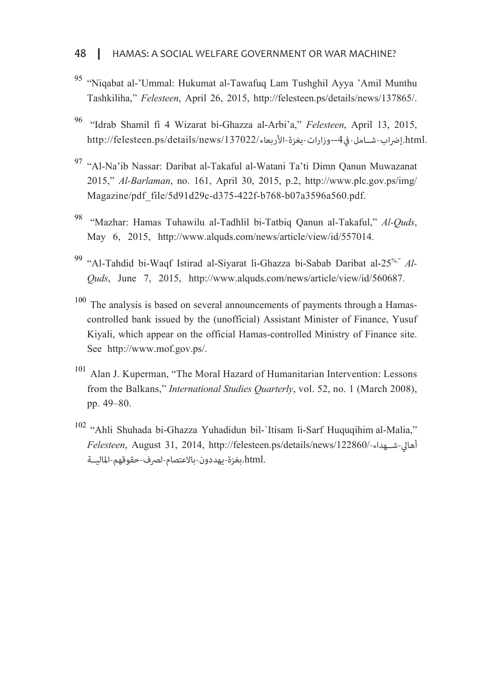- <sup>95</sup> "Niqabat al-'Ummal: Hukumat al-Tawafuq Lam Tushghil Ayya 'Amil Munthu Tashkiliha," Felesteen, April 26, 2015, http://felesteen.ps/details/news/137865/.
- <sup>96</sup> "Idrab Shamil fi 4 Wizarat bi-Ghazza al-Arbi'a," Felesteen, April 13, 2015, .html.إضراب-شيباها،-4،4-وذارات-بغزة-الأربعاء/137022/http://felesteen.ps/details/news/
- 97 "Al-Na'ib Nassar: Daribat al-Takaful al-Watani Ta'ti Dimn Qanun Muwazanat 2015," Al-Barlaman, no. 161, April 30, 2015, p.2, http://www.plc.gov.ps/img/ Magazine/pdf file/5d91d29c-d375-422f-b768-b07a3596a560.pdf.
- <sup>98</sup> "Mazhar: Hamas Tuhawilu al-Tadhlil bi-Tatbiq Qanun al-Takaful," Al-Quds, Mav 6. 2015. http://www.alquds.com/news/article/view/id/557014.
- *Ouds*, June 7, 2015, http://www.alquds.com/news/article/view/id/560687. <sup>99</sup> "Al-Tahdid bi-Waqf Istirad al-Siyarat-li-Ghazza-bi-Sabab Daribat al-25<sup>%,"</sup> Al-
- controlled bank issued by the (unofficial) Assistant Minister of Finance, Yusuf  $100$  The analysis is based on several announcements of payments through a Hamas-Kiyali, which appear on the official Hamas-controlled Ministry of Finance site. See http://www.mof.gov.ps/.
- $101$  Alan J. Kuperman, "The Moral Hazard of Humanitarian Intervention: Lessons from the Balkans," *International Studies Ouarterly*, vol. 52, no. 1 (March 2008), pp. 49 - 80.
- $102$  "Ahli Shuhada bi-Ghazza Yuhadidun bil-'Itisam li-Sarf Huquqihim al-Malia," أهالي-شــهداء/122860/-news/details/ps.felesteen://http 2014, 31, August ,*Felesteen* .html.بغزة-يهددون-بالاعتصام-لصرف-حقوقهم-الماليــة